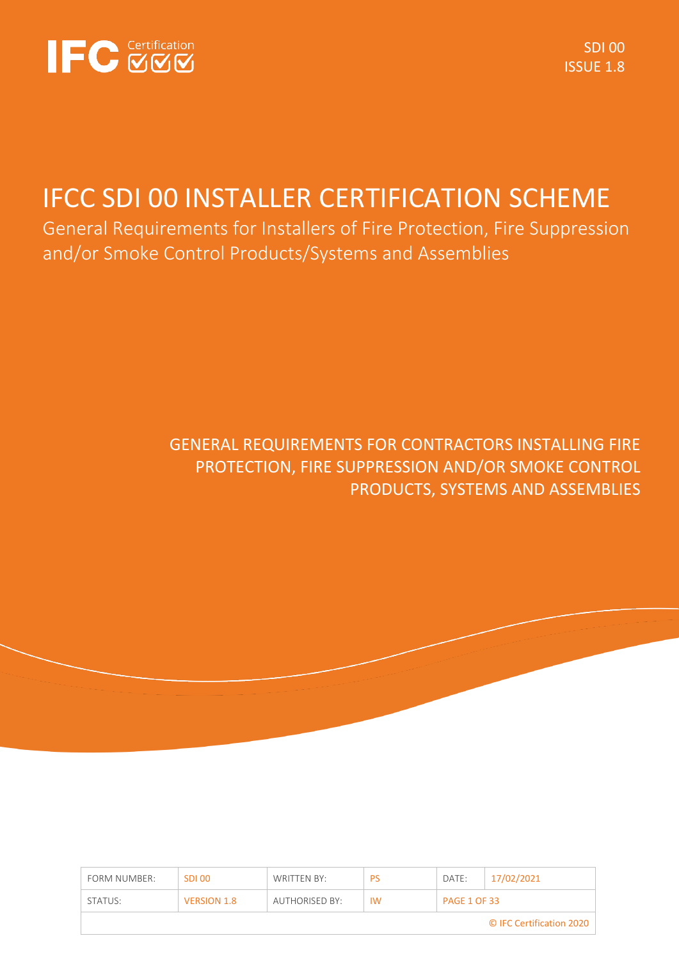

SDI 00 ISSUE 1.8

# IFCC SDI 00 INSTALLER CERTIFICATION SCHEME

General Requirements for Installers of Fire Protection, Fire Suppression and/or Smoke Control Products/Systems and Assemblies

# GENERAL REQUIREMENTS FOR CONTRACTORS INSTALLING FIRE PROTECTION, FIRE SUPPRESSION AND/OR SMOKE CONTROL PRODUCTS, SYSTEMS AND ASSEMBLIES

| FORM NUMBER: | SDI 00             | WRITTEN BY:    | PS        | DATE:               | 17/02/2021               |
|--------------|--------------------|----------------|-----------|---------------------|--------------------------|
| STATUS:      | <b>VERSION 1.8</b> | AUTHORISED BY: | <b>IW</b> | <b>PAGE 1 OF 33</b> |                          |
|              |                    |                |           |                     | © IFC Certification 2020 |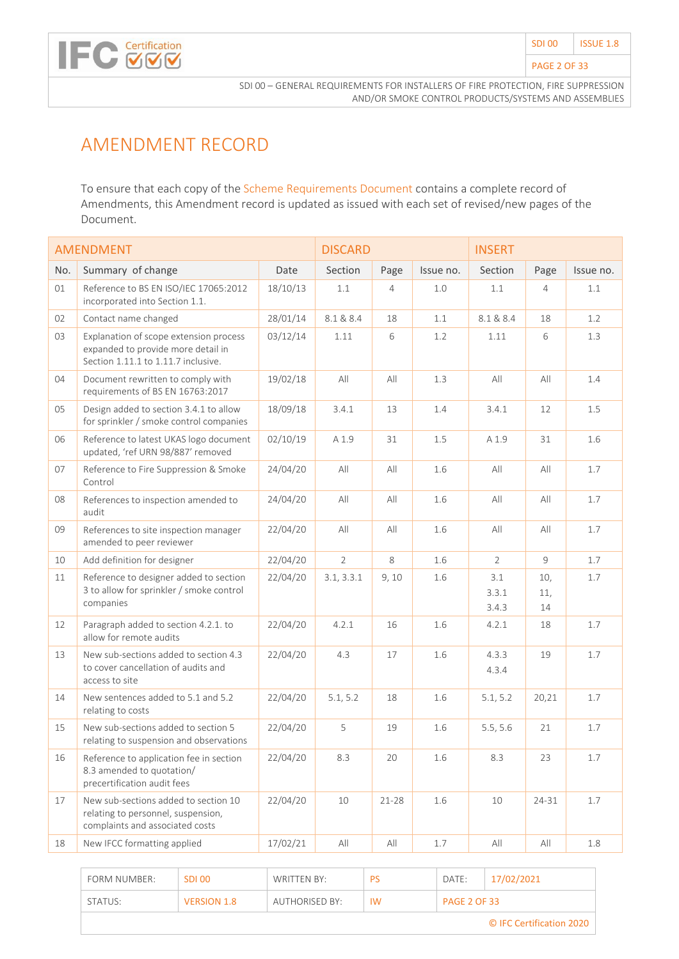

# AMENDMENT RECORD

To ensure that each copy of the Scheme Requirements Document contains a complete record of Amendments, this Amendment record is updated as issued with each set of revised/new pages of the Document.

|     | <b>AMENDMENT</b>                                                                                                    |          | <b>DISCARD</b> |                |           | <b>INSERT</b>         |                  |           |
|-----|---------------------------------------------------------------------------------------------------------------------|----------|----------------|----------------|-----------|-----------------------|------------------|-----------|
| No. | Summary of change                                                                                                   | Date     | Section        | Page           | Issue no. | Section               | Page             | Issue no. |
| 01  | Reference to BS EN ISO/IEC 17065:2012<br>incorporated into Section 1.1.                                             | 18/10/13 | $1.1\,$        | $\overline{4}$ | 1.0       | 1.1                   | $\overline{4}$   | 1.1       |
| 02  | Contact name changed                                                                                                | 28/01/14 | 8.1 & 8.4      | 18             | 1.1       | 8.1 & 8.4             | 18               | 1.2       |
| 03  | Explanation of scope extension process<br>expanded to provide more detail in<br>Section 1.11.1 to 1.11.7 inclusive. | 03/12/14 | 1.11           | 6              | 1.2       | 1.11                  | 6                | 1.3       |
| 04  | Document rewritten to comply with<br>requirements of BS EN 16763:2017                                               | 19/02/18 | All            | All            | 1.3       | All                   | All              | 1.4       |
| 05  | Design added to section 3.4.1 to allow<br>for sprinkler / smoke control companies                                   | 18/09/18 | 3.4.1          | 13             | 1.4       | 3.4.1                 | 12               | 1.5       |
| 06  | Reference to latest UKAS logo document<br>updated, 'ref URN 98/887' removed                                         | 02/10/19 | A 1.9          | 31             | 1.5       | A 1.9                 | 31               | 1.6       |
| 07  | Reference to Fire Suppression & Smoke<br>Control                                                                    | 24/04/20 | All            | All            | 1.6       | All                   | All              | 1.7       |
| 08  | References to inspection amended to<br>audit                                                                        | 24/04/20 | All            | All            | 1.6       | All                   | All              | 1.7       |
| 09  | References to site inspection manager<br>amended to peer reviewer                                                   | 22/04/20 | All            | All            | 1.6       | All                   | All              | 1.7       |
| 10  | Add definition for designer                                                                                         | 22/04/20 | $\overline{2}$ | 8              | 1.6       | $\overline{2}$        | 9                | 1.7       |
| 11  | Reference to designer added to section<br>3 to allow for sprinkler / smoke control<br>companies                     | 22/04/20 | 3.1, 3.3.1     | 9,10           | 1.6       | 3.1<br>3.3.1<br>3.4.3 | 10,<br>11,<br>14 | 1.7       |
| 12  | Paragraph added to section 4.2.1. to<br>allow for remote audits                                                     | 22/04/20 | 4.2.1          | 16             | 1.6       | 4.2.1                 | 18               | 1.7       |
| 13  | New sub-sections added to section 4.3<br>to cover cancellation of audits and<br>access to site                      | 22/04/20 | 4.3            | 17             | 1.6       | 4.3.3<br>4.3.4        | 19               | 1.7       |
| 14  | New sentences added to 5.1 and 5.2<br>relating to costs                                                             | 22/04/20 | 5.1, 5.2       | 18             | 1.6       | 5.1, 5.2              | 20,21            | 1.7       |
| 15  | New sub-sections added to section 5<br>relating to suspension and observations                                      | 22/04/20 | 5              | 19             | 1.6       | 5.5, 5.6              | 21               | 1.7       |
| 16  | Reference to application fee in section<br>8.3 amended to quotation/<br>precertification audit fees                 | 22/04/20 | 8.3            | 20             | 1.6       | 8.3                   | 23               | 1.7       |
| 17  | New sub-sections added to section 10<br>relating to personnel, suspension,<br>complaints and associated costs       | 22/04/20 | 10             | $21 - 28$      | 1.6       | 10                    | 24-31            | 1.7       |
| 18  | New IFCC formatting applied                                                                                         | 17/02/21 | All            | All            | 1.7       | All                   | All              | 1.8       |

| FORM NUMBER:             | SDI 00             | WRITTEN BY:           | PS        | DATE:               | 17/02/2021 |  |  |  |
|--------------------------|--------------------|-----------------------|-----------|---------------------|------------|--|--|--|
| STATUS:                  | <b>VERSION 1.8</b> | <b>AUTHORISED BY:</b> | <b>IW</b> | <b>PAGE 2 OF 33</b> |            |  |  |  |
| © IFC Certification 2020 |                    |                       |           |                     |            |  |  |  |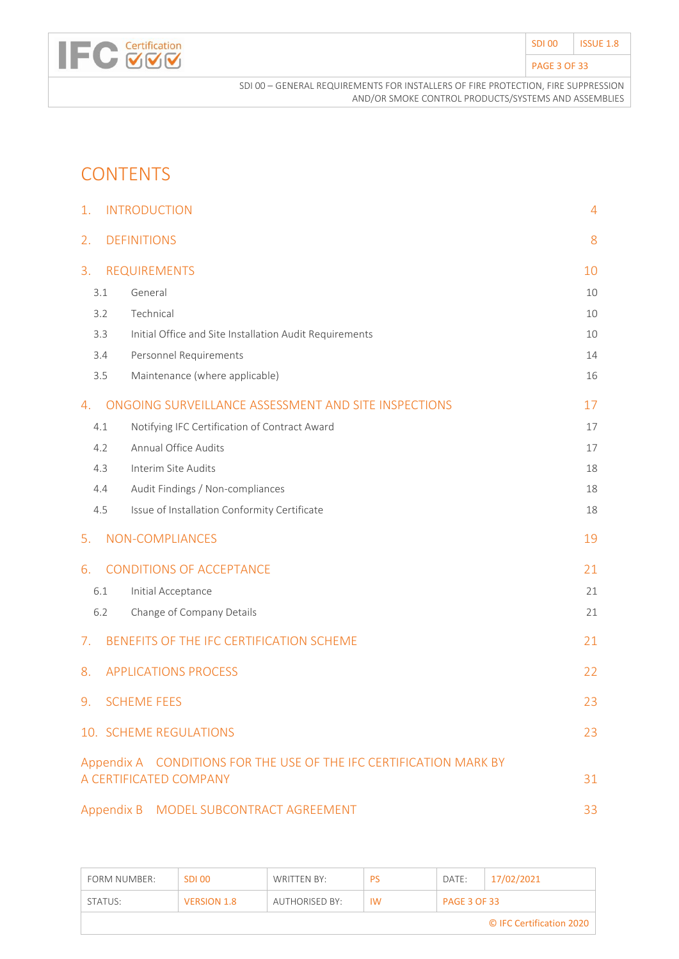| SDI <sub>00</sub>   | <b>ISSUE 1.8</b> |
|---------------------|------------------|
| <b>PAGE 3 OF 33</b> |                  |

# **CONTENTS**

**IFC Certification** 

| 1.  | <b>INTRODUCTION</b>                                                | 4  |
|-----|--------------------------------------------------------------------|----|
| 2.  | <b>DEFINITIONS</b>                                                 | 8  |
| 3.  | <b>REQUIREMENTS</b>                                                | 10 |
| 3.1 | General                                                            | 10 |
| 3.2 | Technical                                                          | 10 |
| 3.3 | Initial Office and Site Installation Audit Requirements            | 10 |
| 3.4 | Personnel Requirements                                             | 14 |
| 3.5 | Maintenance (where applicable)                                     | 16 |
| 4.  | ONGOING SURVEILLANCE ASSESSMENT AND SITE INSPECTIONS               | 17 |
| 4.1 | Notifying IFC Certification of Contract Award                      | 17 |
| 4.2 | Annual Office Audits                                               | 17 |
| 4.3 | Interim Site Audits                                                | 18 |
| 4.4 | Audit Findings / Non-compliances                                   | 18 |
| 4.5 | Issue of Installation Conformity Certificate                       | 18 |
| 5.  | NON-COMPLIANCES                                                    | 19 |
| 6.  | <b>CONDITIONS OF ACCEPTANCE</b>                                    | 21 |
| 6.1 | Initial Acceptance                                                 | 21 |
| 6.2 | Change of Company Details                                          | 21 |
| 7.  | BENEFITS OF THE IFC CERTIFICATION SCHEME                           | 21 |
| 8.  | <b>APPLICATIONS PROCESS</b>                                        | 22 |
| 9.  | <b>SCHEME FEES</b>                                                 | 23 |
|     | 10. SCHEME REGULATIONS                                             | 23 |
|     | Appendix A CONDITIONS FOR THE USE OF THE IFC CERTIFICATION MARK BY |    |
|     | A CERTIFICATED COMPANY                                             | 31 |
|     | Appendix B  MODEL SUBCONTRACT AGREEMENT                            | 33 |

| FORM NUMBER:             | <b>SDL00</b>       | WRITTEN BY:    | PS        | DATE:               | 17/02/2021 |  |  |
|--------------------------|--------------------|----------------|-----------|---------------------|------------|--|--|
| STATUS:                  | <b>VERSION 1.8</b> | AUTHORISED BY: | <b>IW</b> | <b>PAGE 3 OF 33</b> |            |  |  |
| © IFC Certification 2020 |                    |                |           |                     |            |  |  |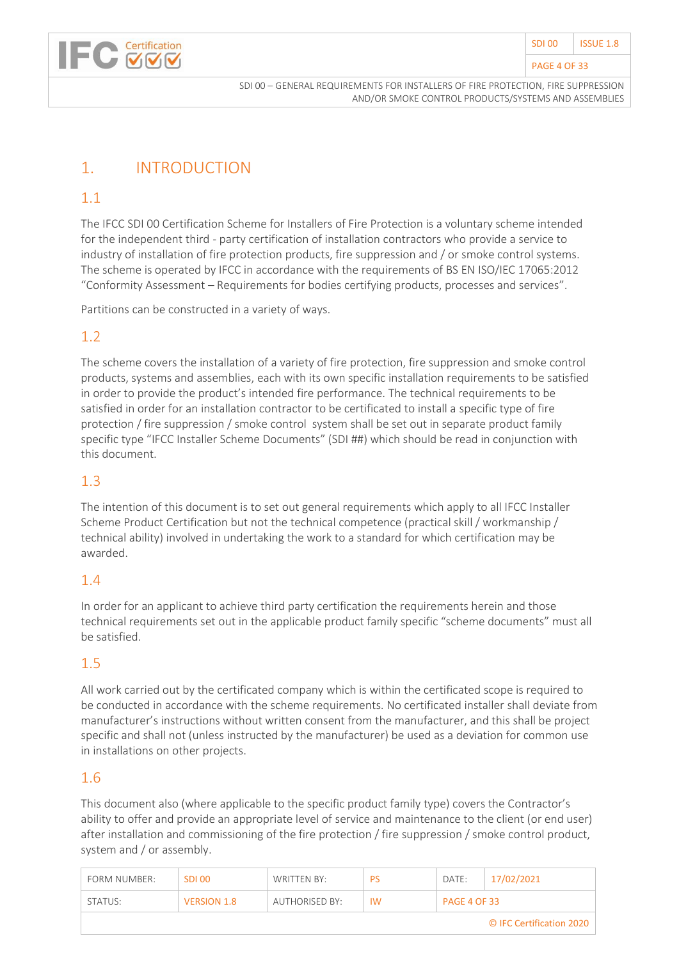

#### PAGE 4 OF 33

# <span id="page-3-0"></span>1. INTRODUCTION

## 1.1

The IFCC SDI 00 Certification Scheme for Installers of Fire Protection is a voluntary scheme intended for the independent third - party certification of installation contractors who provide a service to industry of installation of fire protection products, fire suppression and / or smoke control systems. The scheme is operated by IFCC in accordance with the requirements of BS EN ISO/IEC 17065:2012 "Conformity Assessment – Requirements for bodies certifying products, processes and services".

Partitions can be constructed in a variety of ways.

## 1.2

The scheme covers the installation of a variety of fire protection, fire suppression and smoke control products, systems and assemblies, each with its own specific installation requirements to be satisfied in order to provide the product's intended fire performance. The technical requirements to be satisfied in order for an installation contractor to be certificated to install a specific type of fire protection / fire suppression / smoke control system shall be set out in separate product family specific type "IFCC Installer Scheme Documents" (SDI ##) which should be read in conjunction with this document.

### 1.3

The intention of this document is to set out general requirements which apply to all IFCC Installer Scheme Product Certification but not the technical competence (practical skill / workmanship / technical ability) involved in undertaking the work to a standard for which certification may be awarded.

### 1.4

In order for an applicant to achieve third party certification the requirements herein and those technical requirements set out in the applicable product family specific "scheme documents" must all be satisfied.

# 1.5

All work carried out by the certificated company which is within the certificated scope is required to be conducted in accordance with the scheme requirements. No certificated installer shall deviate from manufacturer's instructions without written consent from the manufacturer, and this shall be project specific and shall not (unless instructed by the manufacturer) be used as a deviation for common use in installations on other projects.

### 1.6

This document also (where applicable to the specific product family type) covers the Contractor's ability to offer and provide an appropriate level of service and maintenance to the client (or end user) after installation and commissioning of the fire protection / fire suppression / smoke control product, system and / or assembly.

| <b>FORM NUMBER:</b>      | SDI 00             | WRITTEN BY:    | <b>PS</b> | DATE:               | 17/02/2021 |  |  |
|--------------------------|--------------------|----------------|-----------|---------------------|------------|--|--|
| STATUS:                  | <b>VERSION 1.8</b> | AUTHORISED BY: | <b>IW</b> | <b>PAGE 4 OF 33</b> |            |  |  |
| © IFC Certification 2020 |                    |                |           |                     |            |  |  |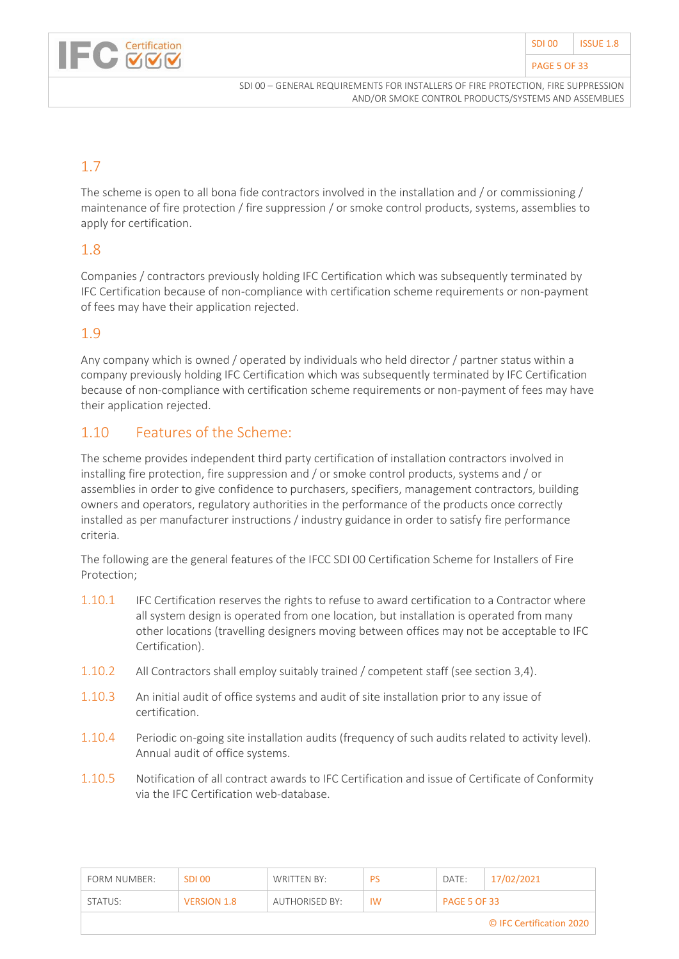#### PAGE 5 OF 33



SDI 00 – GENERAL REQUIREMENTS FOR INSTALLERS OF FIRE PROTECTION, FIRE SUPPRESSION AND/OR SMOKE CONTROL PRODUCTS/SYSTEMS AND ASSEMBLIES

# 1.7

The scheme is open to all bona fide contractors involved in the installation and / or commissioning / maintenance of fire protection / fire suppression / or smoke control products, systems, assemblies to apply for certification.

### 1.8

Companies / contractors previously holding IFC Certification which was subsequently terminated by IFC Certification because of non-compliance with certification scheme requirements or non-payment of fees may have their application rejected.

#### 1.9

Any company which is owned / operated by individuals who held director / partner status within a company previously holding IFC Certification which was subsequently terminated by IFC Certification because of non-compliance with certification scheme requirements or non-payment of fees may have their application rejected.

### 1.10 Features of the Scheme:

The scheme provides independent third party certification of installation contractors involved in installing fire protection, fire suppression and / or smoke control products, systems and / or assemblies in order to give confidence to purchasers, specifiers, management contractors, building owners and operators, regulatory authorities in the performance of the products once correctly installed as per manufacturer instructions / industry guidance in order to satisfy fire performance criteria.

The following are the general features of the IFCC SDI 00 Certification Scheme for Installers of Fire Protection;

- 1.10.1 IFC Certification reserves the rights to refuse to award certification to a Contractor where all system design is operated from one location, but installation is operated from many other locations (travelling designers moving between offices may not be acceptable to IFC Certification).
- 1.10.2 All Contractors shall employ suitably trained / competent staff (see section 3,4).
- 1.10.3 An initial audit of office systems and audit of site installation prior to any issue of certification.
- 1.10.4 Periodic on-going site installation audits (frequency of such audits related to activity level). Annual audit of office systems.
- 1.10.5 Notification of all contract awards to IFC Certification and issue of Certificate of Conformity via the IFC Certification web-database.

| FORM NUMBER:             | <b>SDL00</b>       | WRITTEN BY:    | <b>PS</b> | DATE:               | 17/02/2021 |  |  |  |
|--------------------------|--------------------|----------------|-----------|---------------------|------------|--|--|--|
| STATUS:                  | <b>VERSION 1.8</b> | AUTHORISED BY: | <b>IW</b> | <b>PAGE 5 OF 33</b> |            |  |  |  |
| © IFC Certification 2020 |                    |                |           |                     |            |  |  |  |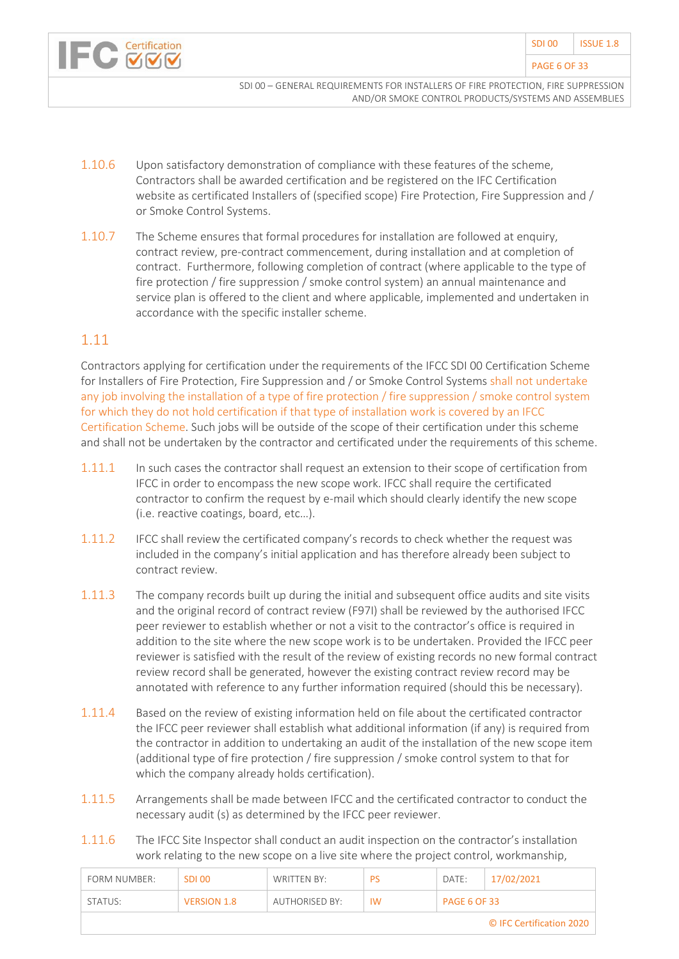

#### PAGE 6 OF 33

SDI 00 – GENERAL REQUIREMENTS FOR INSTALLERS OF FIRE PROTECTION, FIRE SUPPRESSION AND/OR SMOKE CONTROL PRODUCTS/SYSTEMS AND ASSEMBLIES

- 1.10.6 Upon satisfactory demonstration of compliance with these features of the scheme, Contractors shall be awarded certification and be registered on the IFC Certification website as certificated Installers of (specified scope) Fire Protection, Fire Suppression and / or Smoke Control Systems.
- 1.10.7 The Scheme ensures that formal procedures for installation are followed at enquiry, contract review, pre-contract commencement, during installation and at completion of contract. Furthermore, following completion of contract (where applicable to the type of fire protection / fire suppression / smoke control system) an annual maintenance and service plan is offered to the client and where applicable, implemented and undertaken in accordance with the specific installer scheme.

#### 1.11

Contractors applying for certification under the requirements of the IFCC SDI 00 Certification Scheme for Installers of Fire Protection, Fire Suppression and / or Smoke Control Systems shall not undertake any job involving the installation of a type of fire protection / fire suppression / smoke control system for which they do not hold certification if that type of installation work is covered by an IFCC Certification Scheme. Such jobs will be outside of the scope of their certification under this scheme and shall not be undertaken by the contractor and certificated under the requirements of this scheme.

- 1.11.1 In such cases the contractor shall request an extension to their scope of certification from IFCC in order to encompass the new scope work. IFCC shall require the certificated contractor to confirm the request by e-mail which should clearly identify the new scope (i.e. reactive coatings, board, etc…).
- 1.11.2 IFCC shall review the certificated company's records to check whether the request was included in the company's initial application and has therefore already been subject to contract review.
- 1.11.3 The company records built up during the initial and subsequent office audits and site visits and the original record of contract review (F97I) shall be reviewed by the authorised IFCC peer reviewer to establish whether or not a visit to the contractor's office is required in addition to the site where the new scope work is to be undertaken. Provided the IFCC peer reviewer is satisfied with the result of the review of existing records no new formal contract review record shall be generated, however the existing contract review record may be annotated with reference to any further information required (should this be necessary).
- 1.11.4 Based on the review of existing information held on file about the certificated contractor the IFCC peer reviewer shall establish what additional information (if any) is required from the contractor in addition to undertaking an audit of the installation of the new scope item (additional type of fire protection / fire suppression / smoke control system to that for which the company already holds certification).
- 1.11.5 Arrangements shall be made between IFCC and the certificated contractor to conduct the necessary audit (s) as determined by the IFCC peer reviewer.
- 1.11.6 The IFCC Site Inspector shall conduct an audit inspection on the contractor's installation work relating to the new scope on a live site where the project control, workmanship,

| FORM NUMBER:             | SDI 00             | WRITTEN BY:    | <b>PS</b> | DATE:               | 17/02/2021 |  |  |  |
|--------------------------|--------------------|----------------|-----------|---------------------|------------|--|--|--|
| STATUS:                  | <b>VERSION 1.8</b> | AUTHORISED BY: | <b>IW</b> | <b>PAGE 6 OF 33</b> |            |  |  |  |
| © IFC Certification 2020 |                    |                |           |                     |            |  |  |  |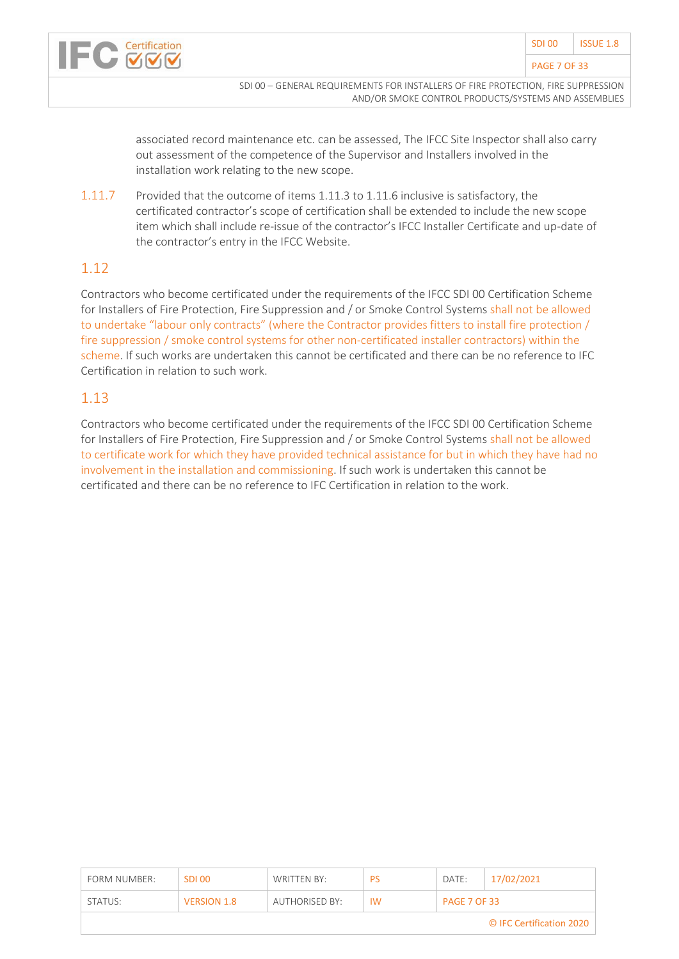

associated record maintenance etc. can be assessed, The IFCC Site Inspector shall also carry out assessment of the competence of the Supervisor and Installers involved in the installation work relating to the new scope.

1.11.7 Provided that the outcome of items 1.11.3 to 1.11.6 inclusive is satisfactory, the certificated contractor's scope of certification shall be extended to include the new scope item which shall include re-issue of the contractor's IFCC Installer Certificate and up-date of the contractor's entry in the IFCC Website.

#### 1.12

Contractors who become certificated under the requirements of the IFCC SDI 00 Certification Scheme for Installers of Fire Protection, Fire Suppression and / or Smoke Control Systems shall not be allowed to undertake "labour only contracts" (where the Contractor provides fitters to install fire protection / fire suppression / smoke control systems for other non-certificated installer contractors) within the scheme. If such works are undertaken this cannot be certificated and there can be no reference to IFC Certification in relation to such work.

#### 1.13

Contractors who become certificated under the requirements of the IFCC SDI 00 Certification Scheme for Installers of Fire Protection, Fire Suppression and / or Smoke Control Systems shall not be allowed to certificate work for which they have provided technical assistance for but in which they have had no involvement in the installation and commissioning. If such work is undertaken this cannot be certificated and there can be no reference to IFC Certification in relation to the work.

| FORM NUMBER:             | SDI 00             | WRITTEN BY:    | PS        | DATE:               | 17/02/2021 |  |  |
|--------------------------|--------------------|----------------|-----------|---------------------|------------|--|--|
| STATUS:                  | <b>VERSION 1.8</b> | AUTHORISED BY: | <b>IW</b> | <b>PAGE 7 OF 33</b> |            |  |  |
| © IFC Certification 2020 |                    |                |           |                     |            |  |  |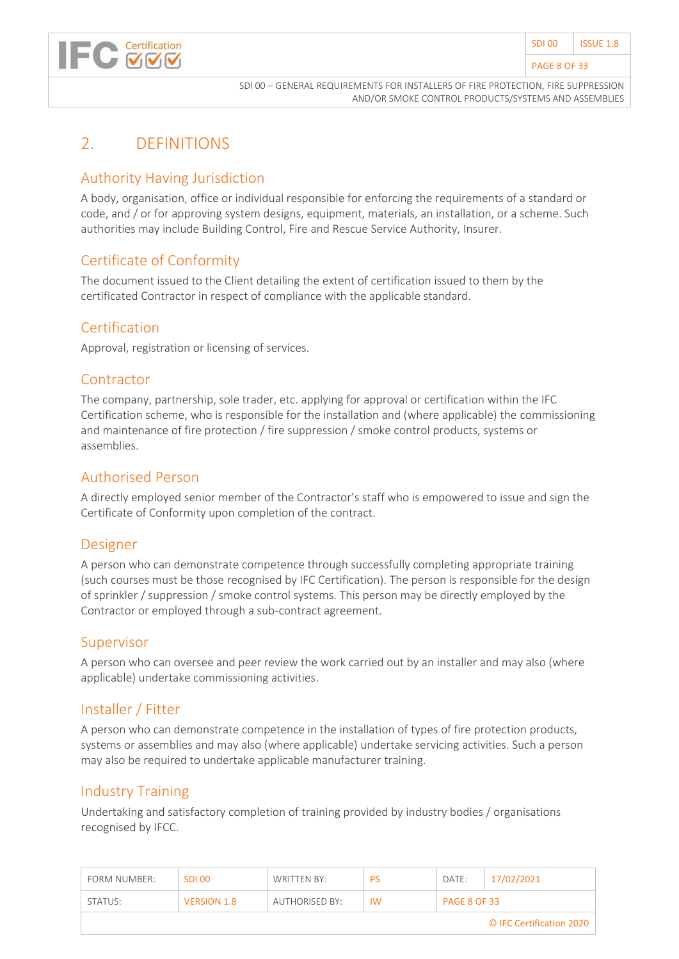# <span id="page-7-0"></span>2. DEFINITIONS

Certification

### Authority Having Jurisdiction

A body, organisation, office or individual responsible for enforcing the requirements of a standard or code, and / or for approving system designs, equipment, materials, an installation, or a scheme. Such authorities may include Building Control, Fire and Rescue Service Authority, Insurer.

#### Certificate of Conformity

The document issued to the Client detailing the extent of certification issued to them by the certificated Contractor in respect of compliance with the applicable standard.

#### Certification

Approval, registration or licensing of services.

#### **Contractor**

The company, partnership, sole trader, etc. applying for approval or certification within the IFC Certification scheme, who is responsible for the installation and (where applicable) the commissioning and maintenance of fire protection / fire suppression / smoke control products, systems or assemblies.

#### Authorised Person

A directly employed senior member of the Contractor's staff who is empowered to issue and sign the Certificate of Conformity upon completion of the contract.

#### Designer

A person who can demonstrate competence through successfully completing appropriate training (such courses must be those recognised by IFC Certification). The person is responsible for the design of sprinkler / suppression / smoke control systems. This person may be directly employed by the Contractor or employed through a sub-contract agreement.

#### Supervisor

A person who can oversee and peer review the work carried out by an installer and may also (where applicable) undertake commissioning activities.

### Installer / Fitter

A person who can demonstrate competence in the installation of types of fire protection products, systems or assemblies and may also (where applicable) undertake servicing activities. Such a person may also be required to undertake applicable manufacturer training.

#### Industry Training

Undertaking and satisfactory completion of training provided by industry bodies / organisations recognised by IFCC.

| FORM NUMBER:             | SDI 00             | WRITTEN BY:    | PS        | DATE:               | 17/02/2021 |  |  |
|--------------------------|--------------------|----------------|-----------|---------------------|------------|--|--|
| STATUS:                  | <b>VERSION 1.8</b> | AUTHORISED BY: | <b>IW</b> | <b>PAGE 8 OF 33</b> |            |  |  |
| © IFC Certification 2020 |                    |                |           |                     |            |  |  |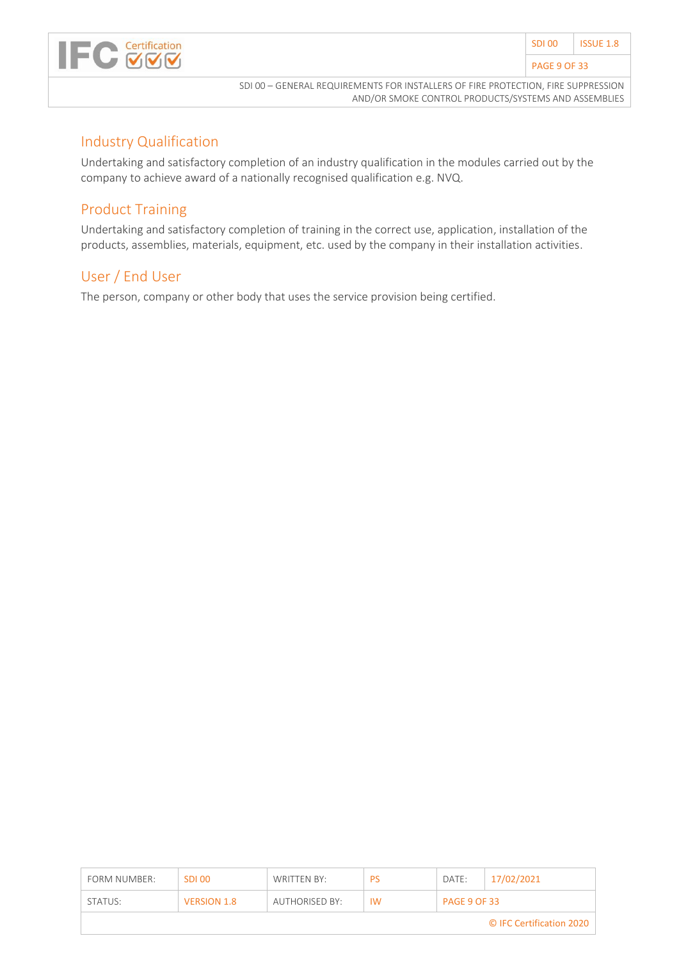

#### Industry Qualification

Undertaking and satisfactory completion of an industry qualification in the modules carried out by the company to achieve award of a nationally recognised qualification e.g. NVQ.

### Product Training

Undertaking and satisfactory completion of training in the correct use, application, installation of the products, assemblies, materials, equipment, etc. used by the company in their installation activities.

#### User / End User

The person, company or other body that uses the service provision being certified.

| FORM NUMBER:             | -SDI 00            | WRITTEN BY:    | <b>PS</b> | DATE:               | 17/02/2021 |  |  |
|--------------------------|--------------------|----------------|-----------|---------------------|------------|--|--|
| STATUS:                  | <b>VERSION 1.8</b> | AUTHORISED BY: | <b>IW</b> | <b>PAGE 9 OF 33</b> |            |  |  |
| © IFC Certification 2020 |                    |                |           |                     |            |  |  |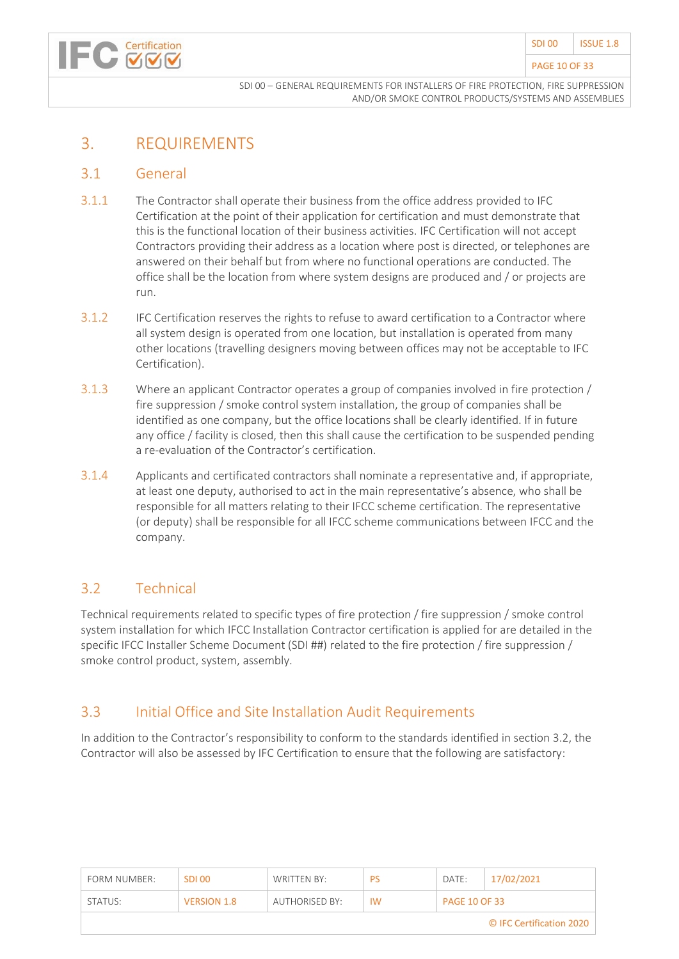#### PAGE 10 OF 33

SDI 00 – GENERAL REQUIREMENTS FOR INSTALLERS OF FIRE PROTECTION, FIRE SUPPRESSION AND/OR SMOKE CONTROL PRODUCTS/SYSTEMS AND ASSEMBLIES

# <span id="page-9-0"></span>3. REQUIREMENTS

#### <span id="page-9-1"></span>3.1 General

- 3.1.1 The Contractor shall operate their business from the office address provided to IFC Certification at the point of their application for certification and must demonstrate that this is the functional location of their business activities. IFC Certification will not accept Contractors providing their address as a location where post is directed, or telephones are answered on their behalf but from where no functional operations are conducted. The office shall be the location from where system designs are produced and / or projects are run.
- 3.1.2 IFC Certification reserves the rights to refuse to award certification to a Contractor where all system design is operated from one location, but installation is operated from many other locations (travelling designers moving between offices may not be acceptable to IFC Certification).
- 3.1.3 Where an applicant Contractor operates a group of companies involved in fire protection / fire suppression / smoke control system installation, the group of companies shall be identified as one company, but the office locations shall be clearly identified. If in future any office / facility is closed, then this shall cause the certification to be suspended pending a re-evaluation of the Contractor's certification.
- 3.1.4 Applicants and certificated contractors shall nominate a representative and, if appropriate, at least one deputy, authorised to act in the main representative's absence, who shall be responsible for all matters relating to their IFCC scheme certification. The representative (or deputy) shall be responsible for all IFCC scheme communications between IFCC and the company.

#### <span id="page-9-2"></span>3.2 Technical

Technical requirements related to specific types of fire protection / fire suppression / smoke control system installation for which IFCC Installation Contractor certification is applied for are detailed in the specific IFCC Installer Scheme Document (SDI ##) related to the fire protection / fire suppression / smoke control product, system, assembly.

### <span id="page-9-3"></span>3.3 Initial Office and Site Installation Audit Requirements

In addition to the Contractor's responsibility to conform to the standards identified in section 3.2, the Contractor will also be assessed by IFC Certification to ensure that the following are satisfactory:

| FORM NUMBER:             | SDI 00             | WRITTEN BY:    | PS | DATE:                | 17/02/2021 |  |  |  |
|--------------------------|--------------------|----------------|----|----------------------|------------|--|--|--|
| STATUS:                  | <b>VERSION 1.8</b> | AUTHORISED BY: | IW | <b>PAGE 10 OF 33</b> |            |  |  |  |
| © IFC Certification 2020 |                    |                |    |                      |            |  |  |  |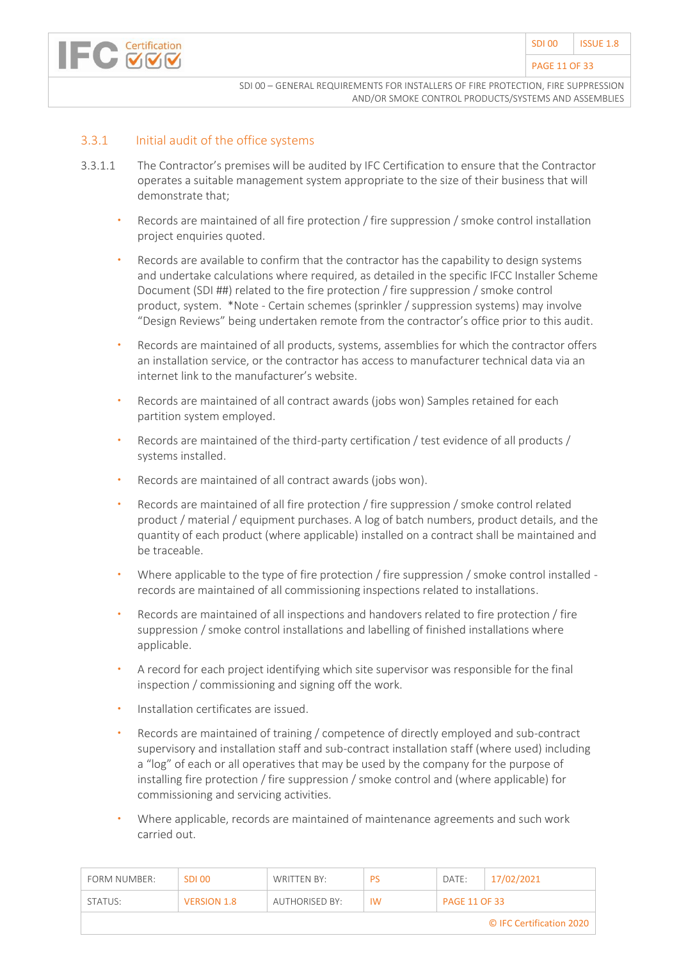

#### 3.3.1 Initial audit of the office systems

- 3.3.1.1 The Contractor's premises will be audited by IFC Certification to ensure that the Contractor operates a suitable management system appropriate to the size of their business that will demonstrate that;
	- Records are maintained of all fire protection / fire suppression / smoke control installation project enquiries quoted.
	- Records are available to confirm that the contractor has the capability to design systems and undertake calculations where required, as detailed in the specific IFCC Installer Scheme Document (SDI ##) related to the fire protection / fire suppression / smoke control product, system. \*Note - Certain schemes (sprinkler / suppression systems) may involve "Design Reviews" being undertaken remote from the contractor's office prior to this audit.
	- Records are maintained of all products, systems, assemblies for which the contractor offers an installation service, or the contractor has access to manufacturer technical data via an internet link to the manufacturer's website.
	- Records are maintained of all contract awards (jobs won) Samples retained for each partition system employed.
	- Records are maintained of the third-party certification / test evidence of all products / systems installed.
	- Records are maintained of all contract awards (jobs won).
	- Records are maintained of all fire protection / fire suppression / smoke control related product / material / equipment purchases. A log of batch numbers, product details, and the quantity of each product (where applicable) installed on a contract shall be maintained and be traceable.
	- Where applicable to the type of fire protection / fire suppression / smoke control installed records are maintained of all commissioning inspections related to installations.
	- Records are maintained of all inspections and handovers related to fire protection / fire suppression / smoke control installations and labelling of finished installations where applicable.
	- A record for each project identifying which site supervisor was responsible for the final inspection / commissioning and signing off the work.
	- Installation certificates are issued.
	- Records are maintained of training / competence of directly employed and sub-contract supervisory and installation staff and sub-contract installation staff (where used) including a "log" of each or all operatives that may be used by the company for the purpose of installing fire protection / fire suppression / smoke control and (where applicable) for commissioning and servicing activities.
	- Where applicable, records are maintained of maintenance agreements and such work carried out.

| FORM NUMBER:             | SDI 00             | WRITTEN BY:    | PS        | DATE:                | 17/02/2021 |  |  |  |
|--------------------------|--------------------|----------------|-----------|----------------------|------------|--|--|--|
| STATUS:                  | <b>VERSION 1.8</b> | AUTHORISED BY: | <b>IW</b> | <b>PAGE 11 OF 33</b> |            |  |  |  |
| © IFC Certification 2020 |                    |                |           |                      |            |  |  |  |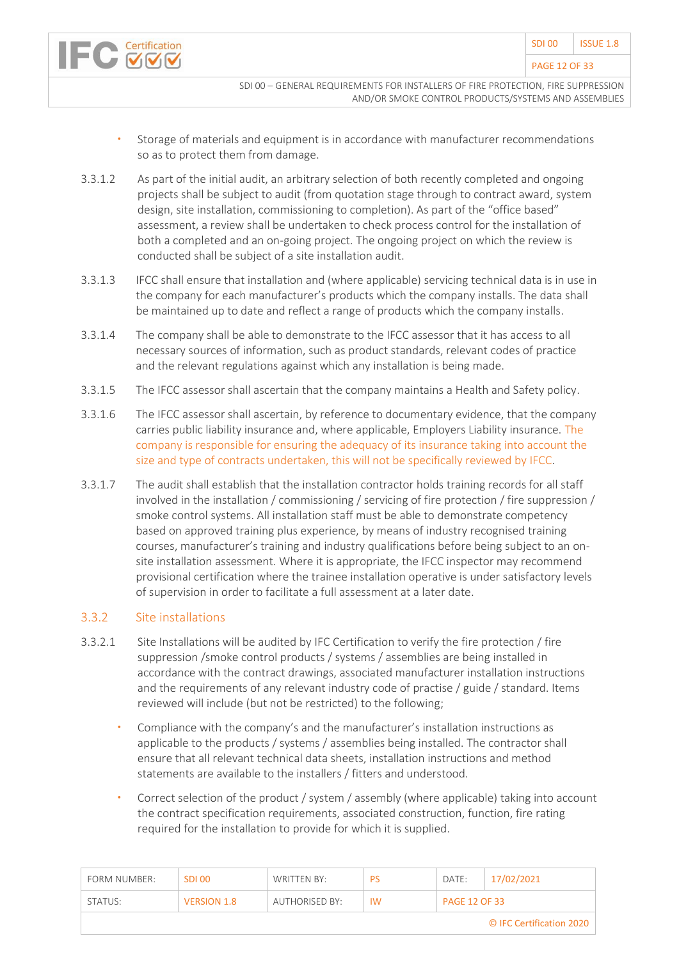- Storage of materials and equipment is in accordance with manufacturer recommendations so as to protect them from damage.
- 3.3.1.2 As part of the initial audit, an arbitrary selection of both recently completed and ongoing projects shall be subject to audit (from quotation stage through to contract award, system design, site installation, commissioning to completion). As part of the "office based" assessment, a review shall be undertaken to check process control for the installation of both a completed and an on-going project. The ongoing project on which the review is conducted shall be subject of a site installation audit.
- 3.3.1.3 IFCC shall ensure that installation and (where applicable) servicing technical data is in use in the company for each manufacturer's products which the company installs. The data shall be maintained up to date and reflect a range of products which the company installs.
- 3.3.1.4 The company shall be able to demonstrate to the IFCC assessor that it has access to all necessary sources of information, such as product standards, relevant codes of practice and the relevant regulations against which any installation is being made.
- 3.3.1.5 The IFCC assessor shall ascertain that the company maintains a Health and Safety policy.
- 3.3.1.6 The IFCC assessor shall ascertain, by reference to documentary evidence, that the company carries public liability insurance and, where applicable, Employers Liability insurance. The company is responsible for ensuring the adequacy of its insurance taking into account the size and type of contracts undertaken, this will not be specifically reviewed by IFCC.
- 3.3.1.7 The audit shall establish that the installation contractor holds training records for all staff involved in the installation / commissioning / servicing of fire protection / fire suppression / smoke control systems. All installation staff must be able to demonstrate competency based on approved training plus experience, by means of industry recognised training courses, manufacturer's training and industry qualifications before being subject to an onsite installation assessment. Where it is appropriate, the IFCC inspector may recommend provisional certification where the trainee installation operative is under satisfactory levels of supervision in order to facilitate a full assessment at a later date.

#### 3.3.2 Site installations

- 3.3.2.1 Site Installations will be audited by IFC Certification to verify the fire protection / fire suppression /smoke control products / systems / assemblies are being installed in accordance with the contract drawings, associated manufacturer installation instructions and the requirements of any relevant industry code of practise / guide / standard. Items reviewed will include (but not be restricted) to the following;
	- Compliance with the company's and the manufacturer's installation instructions as applicable to the products / systems / assemblies being installed. The contractor shall ensure that all relevant technical data sheets, installation instructions and method statements are available to the installers / fitters and understood.
	- Correct selection of the product / system / assembly (where applicable) taking into account the contract specification requirements, associated construction, function, fire rating required for the installation to provide for which it is supplied.

| FORM NUMBER:             | <b>SDI00</b>       | WRITTEN BY:    | PS        | DATE:                | 17/02/2021 |  |  |  |
|--------------------------|--------------------|----------------|-----------|----------------------|------------|--|--|--|
| STATUS:                  | <b>VERSION 1.8</b> | AUTHORISED BY: | <b>IW</b> | <b>PAGE 12 OF 33</b> |            |  |  |  |
| © IFC Certification 2020 |                    |                |           |                      |            |  |  |  |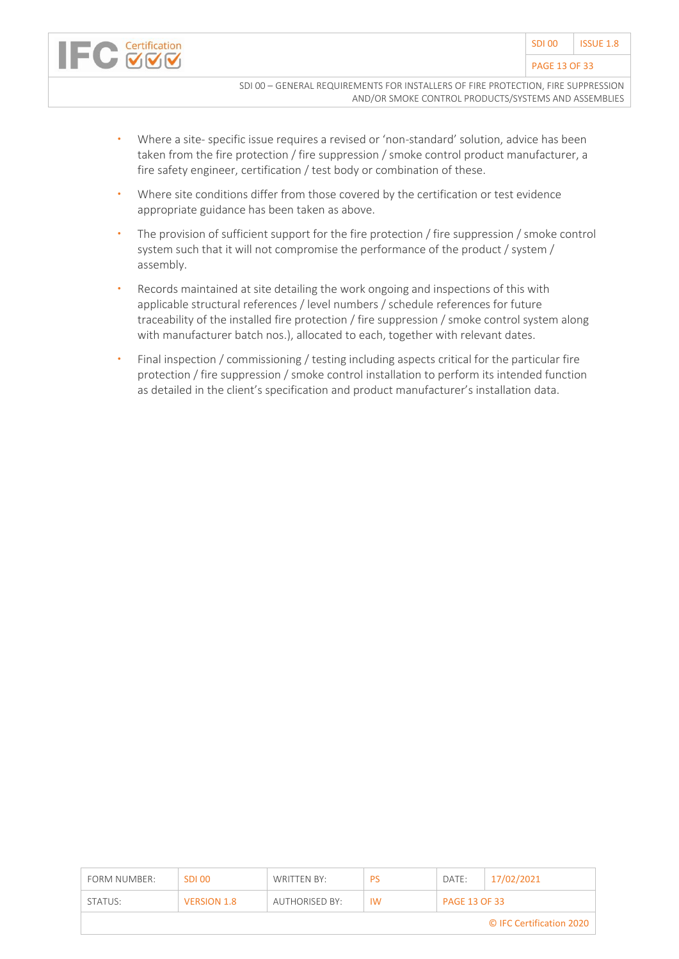

- Where a site- specific issue requires a revised or 'non-standard' solution, advice has been taken from the fire protection / fire suppression / smoke control product manufacturer, a fire safety engineer, certification / test body or combination of these.
- Where site conditions differ from those covered by the certification or test evidence appropriate guidance has been taken as above.
- The provision of sufficient support for the fire protection / fire suppression / smoke control system such that it will not compromise the performance of the product / system / assembly.
- Records maintained at site detailing the work ongoing and inspections of this with applicable structural references / level numbers / schedule references for future traceability of the installed fire protection / fire suppression / smoke control system along with manufacturer batch nos.), allocated to each, together with relevant dates.
- Final inspection / commissioning / testing including aspects critical for the particular fire protection / fire suppression / smoke control installation to perform its intended function as detailed in the client's specification and product manufacturer's installation data.

| FORM NUMBER:             | SDI 00             | WRITTEN BY:    | PS        | DATE:                | 17/02/2021 |  |  |
|--------------------------|--------------------|----------------|-----------|----------------------|------------|--|--|
| STATUS:                  | <b>VERSION 1.8</b> | AUTHORISED BY: | <b>IW</b> | <b>PAGE 13 OF 33</b> |            |  |  |
| © IFC Certification 2020 |                    |                |           |                      |            |  |  |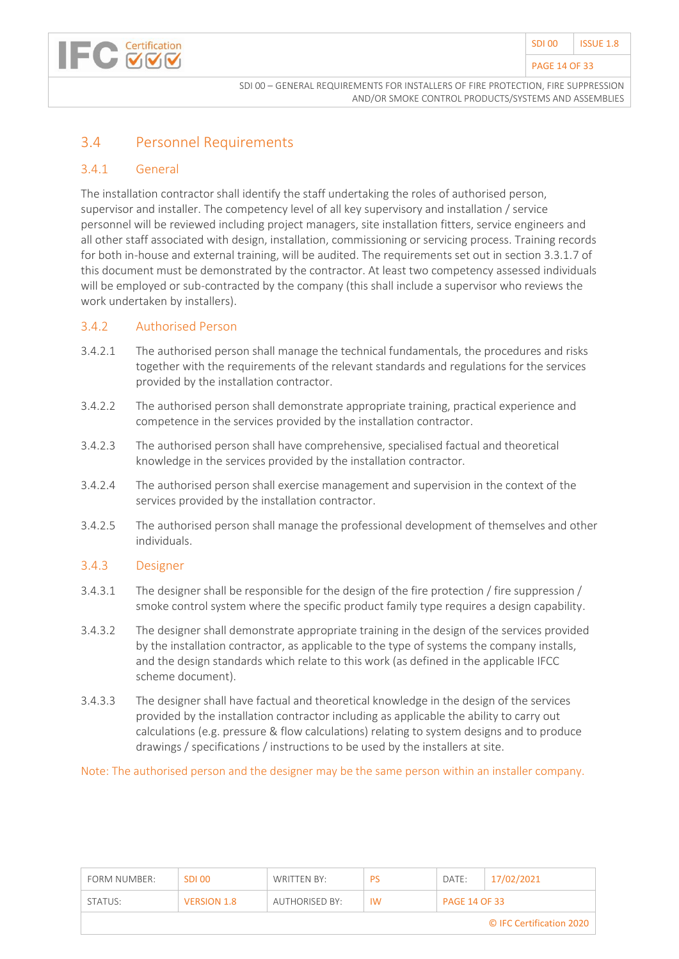#### PAGE 14 OF 33

### <span id="page-13-0"></span>3.4 Personnel Requirements

#### 3.4.1 General

Certification

The installation contractor shall identify the staff undertaking the roles of authorised person, supervisor and installer. The competency level of all key supervisory and installation / service personnel will be reviewed including project managers, site installation fitters, service engineers and all other staff associated with design, installation, commissioning or servicing process. Training records for both in-house and external training, will be audited. The requirements set out in section 3.3.1.7 of this document must be demonstrated by the contractor. At least two competency assessed individuals will be employed or sub-contracted by the company (this shall include a supervisor who reviews the work undertaken by installers).

#### 3.4.2 Authorised Person

- 3.4.2.1 The authorised person shall manage the technical fundamentals, the procedures and risks together with the requirements of the relevant standards and regulations for the services provided by the installation contractor.
- 3.4.2.2 The authorised person shall demonstrate appropriate training, practical experience and competence in the services provided by the installation contractor.
- 3.4.2.3 The authorised person shall have comprehensive, specialised factual and theoretical knowledge in the services provided by the installation contractor.
- 3.4.2.4 The authorised person shall exercise management and supervision in the context of the services provided by the installation contractor.
- 3.4.2.5 The authorised person shall manage the professional development of themselves and other individuals.

#### 3.4.3 Designer

- 3.4.3.1 The designer shall be responsible for the design of the fire protection / fire suppression / smoke control system where the specific product family type requires a design capability.
- 3.4.3.2 The designer shall demonstrate appropriate training in the design of the services provided by the installation contractor, as applicable to the type of systems the company installs, and the design standards which relate to this work (as defined in the applicable IFCC scheme document).
- 3.4.3.3 The designer shall have factual and theoretical knowledge in the design of the services provided by the installation contractor including as applicable the ability to carry out calculations (e.g. pressure & flow calculations) relating to system designs and to produce drawings / specifications / instructions to be used by the installers at site.

Note: The authorised person and the designer may be the same person within an installer company.

| FORM NUMBER:             | SDI 00             | WRITTEN BY:    | PS        | DATE:                | 17/02/2021 |  |  |  |
|--------------------------|--------------------|----------------|-----------|----------------------|------------|--|--|--|
| STATUS:                  | <b>VERSION 1.8</b> | AUTHORISED BY: | <b>IW</b> | <b>PAGE 14 OF 33</b> |            |  |  |  |
| © IFC Certification 2020 |                    |                |           |                      |            |  |  |  |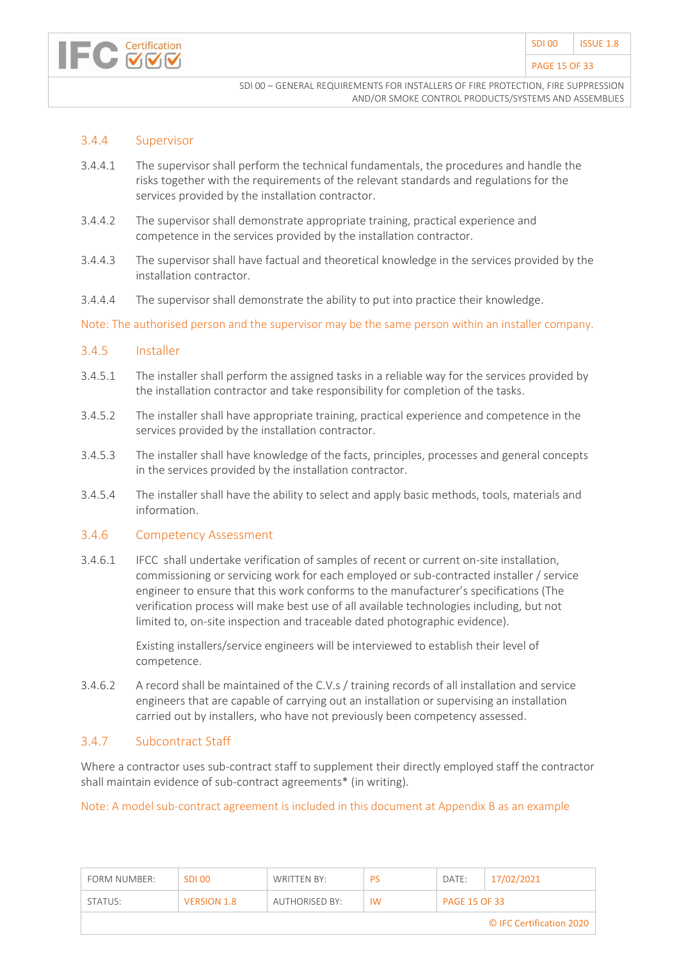

#### PAGE 15 OF 33

SDI 00 – GENERAL REQUIREMENTS FOR INSTALLERS OF FIRE PROTECTION, FIRE SUPPRESSION AND/OR SMOKE CONTROL PRODUCTS/SYSTEMS AND ASSEMBLIES

#### 3.4.4 Supervisor

- 3.4.4.1 The supervisor shall perform the technical fundamentals, the procedures and handle the risks together with the requirements of the relevant standards and regulations for the services provided by the installation contractor.
- 3.4.4.2 The supervisor shall demonstrate appropriate training, practical experience and competence in the services provided by the installation contractor.
- 3.4.4.3 The supervisor shall have factual and theoretical knowledge in the services provided by the installation contractor.
- 3.4.4.4 The supervisor shall demonstrate the ability to put into practice their knowledge.

Note: The authorised person and the supervisor may be the same person within an installer company.

#### 3.4.5 Installer

- 3.4.5.1 The installer shall perform the assigned tasks in a reliable way for the services provided by the installation contractor and take responsibility for completion of the tasks.
- 3.4.5.2 The installer shall have appropriate training, practical experience and competence in the services provided by the installation contractor.
- 3.4.5.3 The installer shall have knowledge of the facts, principles, processes and general concepts in the services provided by the installation contractor.
- 3.4.5.4 The installer shall have the ability to select and apply basic methods, tools, materials and information.

#### 3.4.6 Competency Assessment

3.4.6.1 IFCC shall undertake verification of samples of recent or current on-site installation, commissioning or servicing work for each employed or sub-contracted installer / service engineer to ensure that this work conforms to the manufacturer's specifications (The verification process will make best use of all available technologies including, but not limited to, on-site inspection and traceable dated photographic evidence).

> Existing installers/service engineers will be interviewed to establish their level of competence.

3.4.6.2 A record shall be maintained of the C.V.s / training records of all installation and service engineers that are capable of carrying out an installation or supervising an installation carried out by installers, who have not previously been competency assessed.

#### 3.4.7 Subcontract Staff

Where a contractor uses sub-contract staff to supplement their directly employed staff the contractor shall maintain evidence of sub-contract agreements\* (in writing).

#### Note: A model sub-contract agreement is included in this document at Appendix B as an example

| FORM NUMBER:             | SDI 00             | WRITTEN BY:    | <b>PS</b> | DATE:                | 17/02/2021 |  |  |
|--------------------------|--------------------|----------------|-----------|----------------------|------------|--|--|
| STATUS:                  | <b>VERSION 1.8</b> | AUTHORISED BY: | <b>IW</b> | <b>PAGE 15 OF 33</b> |            |  |  |
| © IFC Certification 2020 |                    |                |           |                      |            |  |  |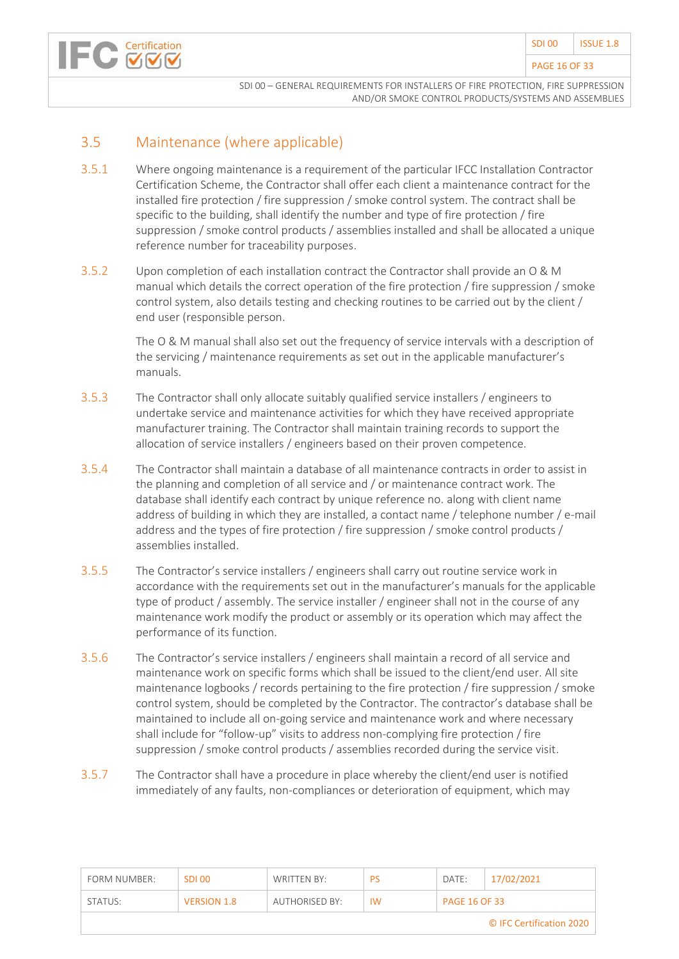

### <span id="page-15-0"></span>3.5 Maintenance (where applicable)

- 3.5.1 Where ongoing maintenance is a requirement of the particular IFCC Installation Contractor Certification Scheme, the Contractor shall offer each client a maintenance contract for the installed fire protection / fire suppression / smoke control system. The contract shall be specific to the building, shall identify the number and type of fire protection / fire suppression / smoke control products / assemblies installed and shall be allocated a unique reference number for traceability purposes.
- 3.5.2 Upon completion of each installation contract the Contractor shall provide an O & M manual which details the correct operation of the fire protection / fire suppression / smoke control system, also details testing and checking routines to be carried out by the client / end user (responsible person.

The O & M manual shall also set out the frequency of service intervals with a description of the servicing / maintenance requirements as set out in the applicable manufacturer's manuals.

- 3.5.3 The Contractor shall only allocate suitably qualified service installers / engineers to undertake service and maintenance activities for which they have received appropriate manufacturer training. The Contractor shall maintain training records to support the allocation of service installers / engineers based on their proven competence.
- 3.5.4 The Contractor shall maintain a database of all maintenance contracts in order to assist in the planning and completion of all service and / or maintenance contract work. The database shall identify each contract by unique reference no. along with client name address of building in which they are installed, a contact name / telephone number / e-mail address and the types of fire protection / fire suppression / smoke control products / assemblies installed.
- 3.5.5 The Contractor's service installers / engineers shall carry out routine service work in accordance with the requirements set out in the manufacturer's manuals for the applicable type of product / assembly. The service installer / engineer shall not in the course of any maintenance work modify the product or assembly or its operation which may affect the performance of its function.
- 3.5.6 The Contractor's service installers / engineers shall maintain a record of all service and maintenance work on specific forms which shall be issued to the client/end user. All site maintenance logbooks / records pertaining to the fire protection / fire suppression / smoke control system, should be completed by the Contractor. The contractor's database shall be maintained to include all on-going service and maintenance work and where necessary shall include for "follow-up" visits to address non-complying fire protection / fire suppression / smoke control products / assemblies recorded during the service visit.
- 3.5.7 The Contractor shall have a procedure in place whereby the client/end user is notified immediately of any faults, non-compliances or deterioration of equipment, which may

| FORM NUMBER:             | <b>SDI00</b>       | WRITTEN BY:    | PS        | DATE:                | 17/02/2021 |  |  |  |
|--------------------------|--------------------|----------------|-----------|----------------------|------------|--|--|--|
| STATUS:                  | <b>VERSION 1.8</b> | AUTHORISED BY: | <b>IW</b> | <b>PAGE 16 OF 33</b> |            |  |  |  |
| © IFC Certification 2020 |                    |                |           |                      |            |  |  |  |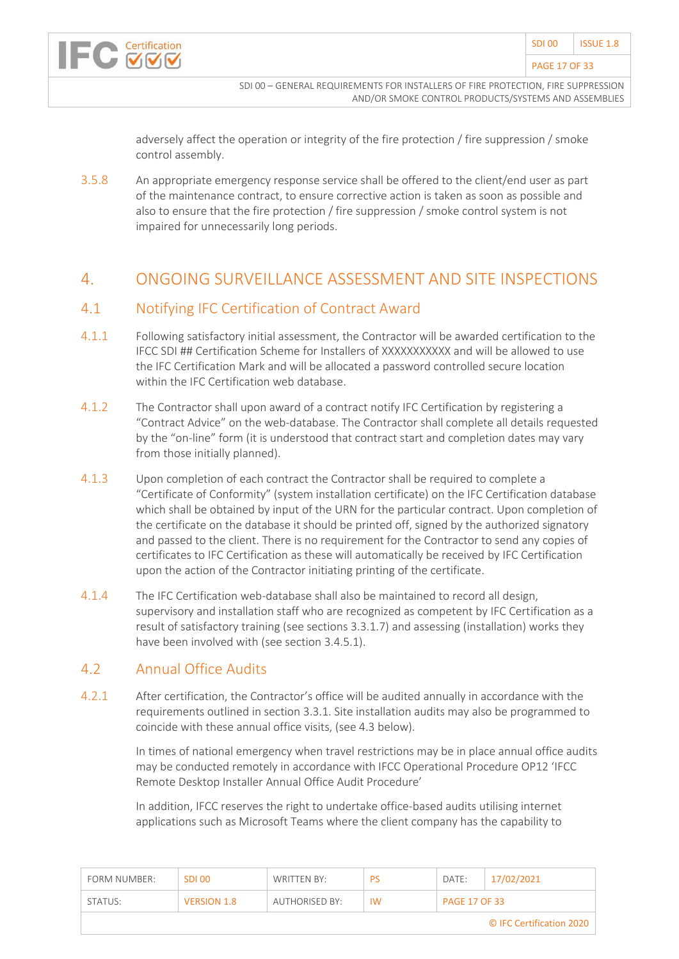

adversely affect the operation or integrity of the fire protection / fire suppression / smoke control assembly.

3.5.8 An appropriate emergency response service shall be offered to the client/end user as part of the maintenance contract, to ensure corrective action is taken as soon as possible and also to ensure that the fire protection / fire suppression / smoke control system is not impaired for unnecessarily long periods.

#### <span id="page-16-0"></span>4. ONGOING SURVEILLANCE ASSESSMENT AND SITE INSPECTIONS

#### <span id="page-16-1"></span>4.1 Notifying IFC Certification of Contract Award

- 4.1.1 Following satisfactory initial assessment, the Contractor will be awarded certification to the IFCC SDI ## Certification Scheme for Installers of XXXXXXXXXXX and will be allowed to use the IFC Certification Mark and will be allocated a password controlled secure location within the IFC Certification web database.
- 4.1.2 The Contractor shall upon award of a contract notify IFC Certification by registering a "Contract Advice" on the web-database. The Contractor shall complete all details requested by the "on-line" form (it is understood that contract start and completion dates may vary from those initially planned).
- 4.1.3 Upon completion of each contract the Contractor shall be required to complete a "Certificate of Conformity" (system installation certificate) on the IFC Certification database which shall be obtained by input of the URN for the particular contract. Upon completion of the certificate on the database it should be printed off, signed by the authorized signatory and passed to the client. There is no requirement for the Contractor to send any copies of certificates to IFC Certification as these will automatically be received by IFC Certification upon the action of the Contractor initiating printing of the certificate.
- 4.1.4 The IFC Certification web-database shall also be maintained to record all design, supervisory and installation staff who are recognized as competent by IFC Certification as a result of satisfactory training (see sections 3.3.1.7) and assessing (installation) works they have been involved with (see section 3.4.5.1).

#### <span id="page-16-2"></span>4.2 Annual Office Audits

Certification

4.2.1 After certification, the Contractor's office will be audited annually in accordance with the requirements outlined in section 3.3.1. Site installation audits may also be programmed to coincide with these annual office visits, (see 4.3 below).

> In times of national emergency when travel restrictions may be in place annual office audits may be conducted remotely in accordance with IFCC Operational Procedure OP12 'IFCC Remote Desktop Installer Annual Office Audit Procedure'

In addition, IFCC reserves the right to undertake office-based audits utilising internet applications such as Microsoft Teams where the client company has the capability to

| FORM NUMBER:             | SDI 00             | WRITTEN BY:    | PS        | DATE:                | 17/02/2021 |  |  |  |
|--------------------------|--------------------|----------------|-----------|----------------------|------------|--|--|--|
| STATUS:                  | <b>VERSION 1.8</b> | AUTHORISED BY: | <b>IW</b> | <b>PAGE 17 OF 33</b> |            |  |  |  |
| © IFC Certification 2020 |                    |                |           |                      |            |  |  |  |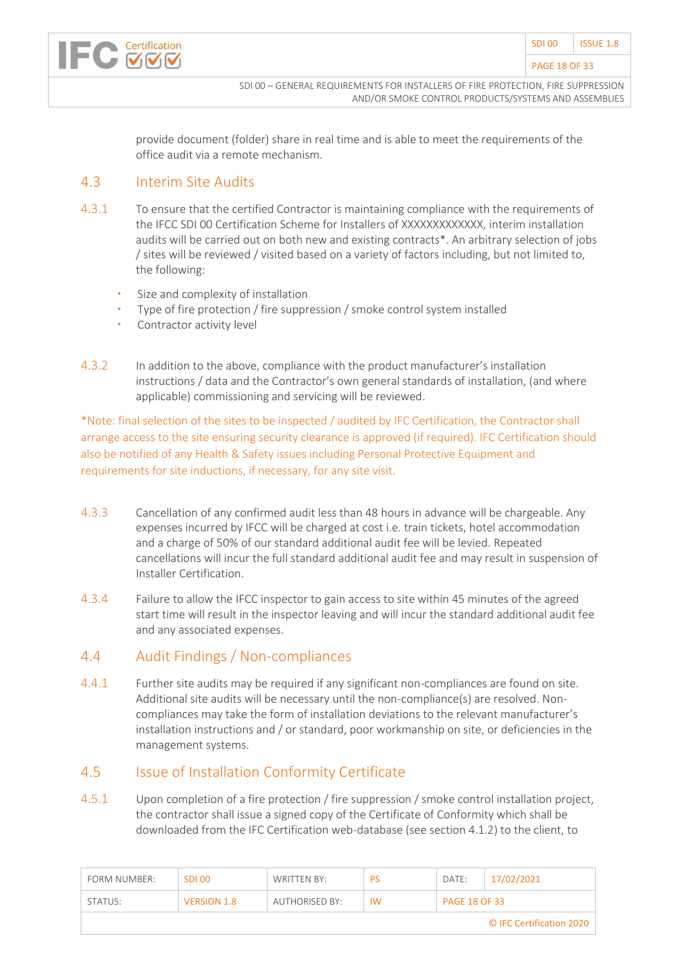

provide document (folder) share in real time and is able to meet the requirements of the office audit via a remote mechanism.

#### <span id="page-17-0"></span>4.3 Interim Site Audits

- 4.3.1 To ensure that the certified Contractor is maintaining compliance with the requirements of the IFCC SDI 00 Certification Scheme for Installers of XXXXXXXXXXXXX, interim installation audits will be carried out on both new and existing contracts\*. An arbitrary selection of jobs / sites will be reviewed / visited based on a variety of factors including, but not limited to, the following:
	- Size and complexity of installation
	- Type of fire protection / fire suppression / smoke control system installed
	- Contractor activity level
- 4.3.2 In addition to the above, compliance with the product manufacturer's installation instructions / data and the Contractor's own general standards of installation, (and where applicable) commissioning and servicing will be reviewed.

\*Note: final selection of the sites to be inspected / audited by IFC Certification, the Contractor shall arrange access to the site ensuring security clearance is approved (if required). IFC Certification should also be notified of any Health & Safety issues including Personal Protective Equipment and requirements for site inductions, if necessary, for any site visit.

- 4.3.3 Cancellation of any confirmed audit less than 48 hours in advance will be chargeable. Any expenses incurred by IFCC will be charged at cost i.e. train tickets, hotel accommodation and a charge of 50% of our standard additional audit fee will be levied. Repeated cancellations will incur the full standard additional audit fee and may result in suspension of Installer Certification.
- 4.3.4 Failure to allow the IFCC inspector to gain access to site within 45 minutes of the agreed start time will result in the inspector leaving and will incur the standard additional audit fee and any associated expenses.

#### <span id="page-17-1"></span>4.4 Audit Findings / Non-compliances

4.4.1 Further site audits may be required if any significant non-compliances are found on site. Additional site audits will be necessary until the non-compliance(s) are resolved. Noncompliances may take the form of installation deviations to the relevant manufacturer's installation instructions and / or standard, poor workmanship on site, or deficiencies in the management systems.

#### <span id="page-17-2"></span>4.5 Issue of Installation Conformity Certificate

4.5.1 Upon completion of a fire protection / fire suppression / smoke control installation project, the contractor shall issue a signed copy of the Certificate of Conformity which shall be downloaded from the IFC Certification web-database (see section 4.1.2) to the client, to

| FORM NUMBER:             | SDI 00             | WRITTEN BY:           | <b>PS</b> | DATE:                | 17/02/2021 |  |  |  |
|--------------------------|--------------------|-----------------------|-----------|----------------------|------------|--|--|--|
| STATUS:                  | <b>VERSION 1.8</b> | <b>AUTHORISED BY:</b> | <b>IW</b> | <b>PAGE 18 OF 33</b> |            |  |  |  |
| © IFC Certification 2020 |                    |                       |           |                      |            |  |  |  |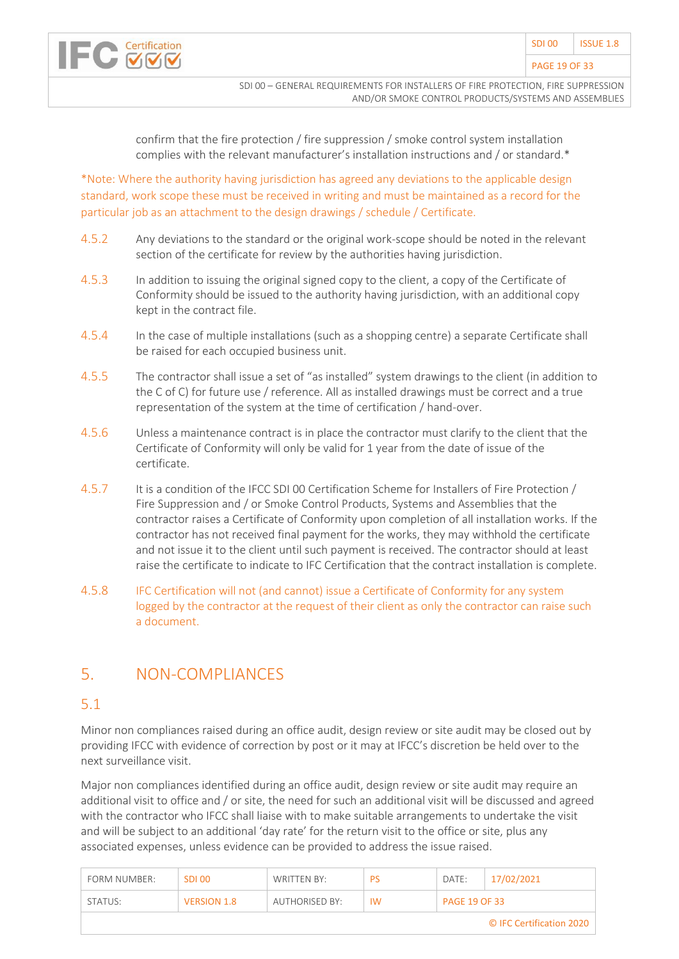

confirm that the fire protection / fire suppression / smoke control system installation complies with the relevant manufacturer's installation instructions and / or standard.\*

\*Note: Where the authority having jurisdiction has agreed any deviations to the applicable design standard, work scope these must be received in writing and must be maintained as a record for the particular job as an attachment to the design drawings / schedule / Certificate.

- 4.5.2 Any deviations to the standard or the original work-scope should be noted in the relevant section of the certificate for review by the authorities having jurisdiction.
- 4.5.3 In addition to issuing the original signed copy to the client, a copy of the Certificate of Conformity should be issued to the authority having jurisdiction, with an additional copy kept in the contract file.
- 4.5.4 In the case of multiple installations (such as a shopping centre) a separate Certificate shall be raised for each occupied business unit.
- 4.5.5 The contractor shall issue a set of "as installed" system drawings to the client (in addition to the C of C) for future use / reference. All as installed drawings must be correct and a true representation of the system at the time of certification / hand-over.
- 4.5.6 Unless a maintenance contract is in place the contractor must clarify to the client that the Certificate of Conformity will only be valid for 1 year from the date of issue of the certificate.
- 4.5.7 It is a condition of the IFCC SDI 00 Certification Scheme for Installers of Fire Protection / Fire Suppression and / or Smoke Control Products, Systems and Assemblies that the contractor raises a Certificate of Conformity upon completion of all installation works. If the contractor has not received final payment for the works, they may withhold the certificate and not issue it to the client until such payment is received. The contractor should at least raise the certificate to indicate to IFC Certification that the contract installation is complete.
- 4.5.8 IFC Certification will not (and cannot) issue a Certificate of Conformity for any system logged by the contractor at the request of their client as only the contractor can raise such a document.

# <span id="page-18-0"></span>5. NON-COMPLIANCES

#### 5.1

Minor non compliances raised during an office audit, design review or site audit may be closed out by providing IFCC with evidence of correction by post or it may at IFCC's discretion be held over to the next surveillance visit.

Major non compliances identified during an office audit, design review or site audit may require an additional visit to office and / or site, the need for such an additional visit will be discussed and agreed with the contractor who IFCC shall liaise with to make suitable arrangements to undertake the visit and will be subject to an additional 'day rate' for the return visit to the office or site, plus any associated expenses, unless evidence can be provided to address the issue raised.

| FORM NUMBER:             | SDI 00             | WRITTEN BY:    | <b>PS</b> | DATE:                | 17/02/2021 |  |  |  |
|--------------------------|--------------------|----------------|-----------|----------------------|------------|--|--|--|
| STATUS:                  | <b>VERSION 1.8</b> | AUTHORISED BY: | <b>IW</b> | <b>PAGE 19 OF 33</b> |            |  |  |  |
| © IFC Certification 2020 |                    |                |           |                      |            |  |  |  |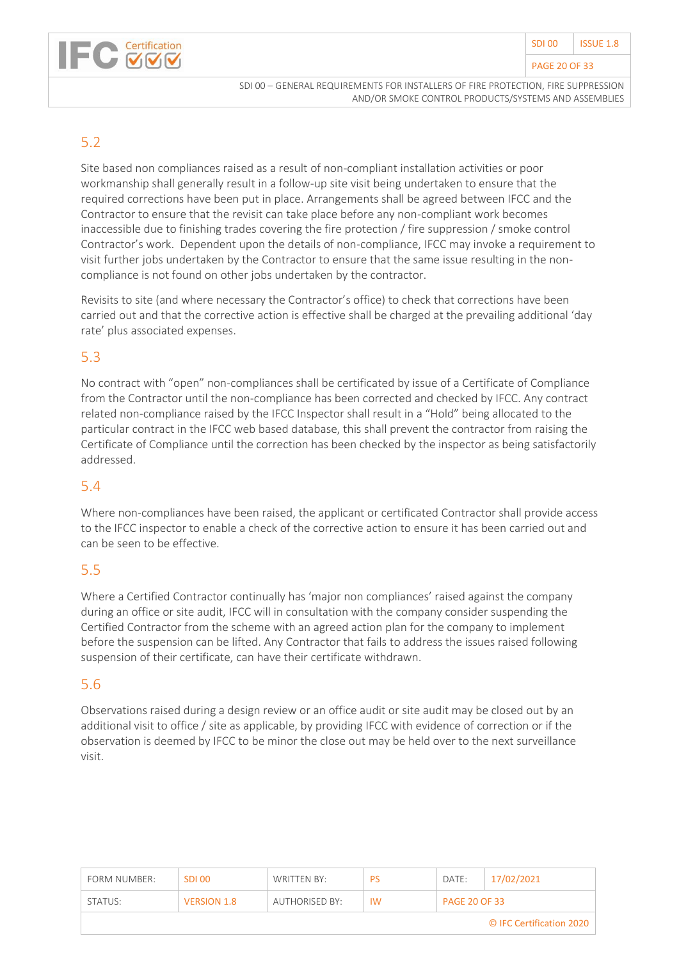

#### PAGE 20 OF 33



SDI 00 – GENERAL REQUIREMENTS FOR INSTALLERS OF FIRE PROTECTION, FIRE SUPPRESSION AND/OR SMOKE CONTROL PRODUCTS/SYSTEMS AND ASSEMBLIES

### 5.2

Site based non compliances raised as a result of non-compliant installation activities or poor workmanship shall generally result in a follow-up site visit being undertaken to ensure that the required corrections have been put in place. Arrangements shall be agreed between IFCC and the Contractor to ensure that the revisit can take place before any non-compliant work becomes inaccessible due to finishing trades covering the fire protection / fire suppression / smoke control Contractor's work. Dependent upon the details of non-compliance, IFCC may invoke a requirement to visit further jobs undertaken by the Contractor to ensure that the same issue resulting in the noncompliance is not found on other jobs undertaken by the contractor.

Revisits to site (and where necessary the Contractor's office) to check that corrections have been carried out and that the corrective action is effective shall be charged at the prevailing additional 'day rate' plus associated expenses.

#### 5.3

No contract with "open" non-compliances shall be certificated by issue of a Certificate of Compliance from the Contractor until the non-compliance has been corrected and checked by IFCC. Any contract related non-compliance raised by the IFCC Inspector shall result in a "Hold" being allocated to the particular contract in the IFCC web based database, this shall prevent the contractor from raising the Certificate of Compliance until the correction has been checked by the inspector as being satisfactorily addressed.

### 5.4

Where non-compliances have been raised, the applicant or certificated Contractor shall provide access to the IFCC inspector to enable a check of the corrective action to ensure it has been carried out and can be seen to be effective.

#### 5.5

Where a Certified Contractor continually has 'major non compliances' raised against the company during an office or site audit, IFCC will in consultation with the company consider suspending the Certified Contractor from the scheme with an agreed action plan for the company to implement before the suspension can be lifted. Any Contractor that fails to address the issues raised following suspension of their certificate, can have their certificate withdrawn.

#### 5.6

Observations raised during a design review or an office audit or site audit may be closed out by an additional visit to office / site as applicable, by providing IFCC with evidence of correction or if the observation is deemed by IFCC to be minor the close out may be held over to the next surveillance visit.

| FORM NUMBER:             | SDI 00             | WRITTEN BY:    | <b>PS</b> | DATE:                | 17/02/2021 |  |  |  |
|--------------------------|--------------------|----------------|-----------|----------------------|------------|--|--|--|
| STATUS:                  | <b>VERSION 1.8</b> | AUTHORISED BY: | <b>IW</b> | <b>PAGE 20 OF 33</b> |            |  |  |  |
| © IFC Certification 2020 |                    |                |           |                      |            |  |  |  |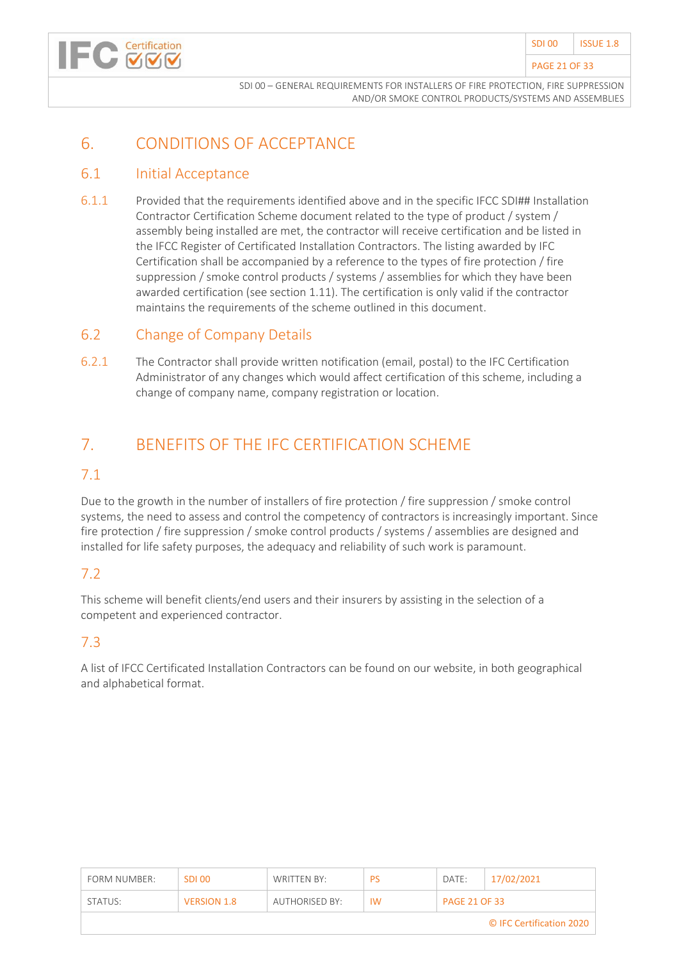

# <span id="page-20-0"></span>6. CONDITIONS OF ACCEPTANCE

#### <span id="page-20-1"></span>6.1 Initial Acceptance

Certification

6.1.1 Provided that the requirements identified above and in the specific IFCC SDI## Installation Contractor Certification Scheme document related to the type of product / system / assembly being installed are met, the contractor will receive certification and be listed in the IFCC Register of Certificated Installation Contractors. The listing awarded by IFC Certification shall be accompanied by a reference to the types of fire protection / fire suppression / smoke control products / systems / assemblies for which they have been awarded certification (see section 1.11). The certification is only valid if the contractor maintains the requirements of the scheme outlined in this document.

#### <span id="page-20-2"></span>6.2 Change of Company Details

6.2.1 The Contractor shall provide written notification (email, postal) to the IFC Certification Administrator of any changes which would affect certification of this scheme, including a change of company name, company registration or location.

# <span id="page-20-3"></span>7. BENEFITS OF THE IFC CERTIFICATION SCHEME

#### 7.1

Due to the growth in the number of installers of fire protection / fire suppression / smoke control systems, the need to assess and control the competency of contractors is increasingly important. Since fire protection / fire suppression / smoke control products / systems / assemblies are designed and installed for life safety purposes, the adequacy and reliability of such work is paramount.

#### 7.2

This scheme will benefit clients/end users and their insurers by assisting in the selection of a competent and experienced contractor.

#### 7.3

A list of IFCC Certificated Installation Contractors can be found on our website, in both geographical and alphabetical format.

| FORM NUMBER:             | <b>SDI00</b>       | WRITTEN BY:    | PS        | DATE:                | 17/02/2021 |  |  |
|--------------------------|--------------------|----------------|-----------|----------------------|------------|--|--|
| STATUS:                  | <b>VERSION 1.8</b> | AUTHORISED BY: | <b>IW</b> | <b>PAGE 21 OF 33</b> |            |  |  |
| © IFC Certification 2020 |                    |                |           |                      |            |  |  |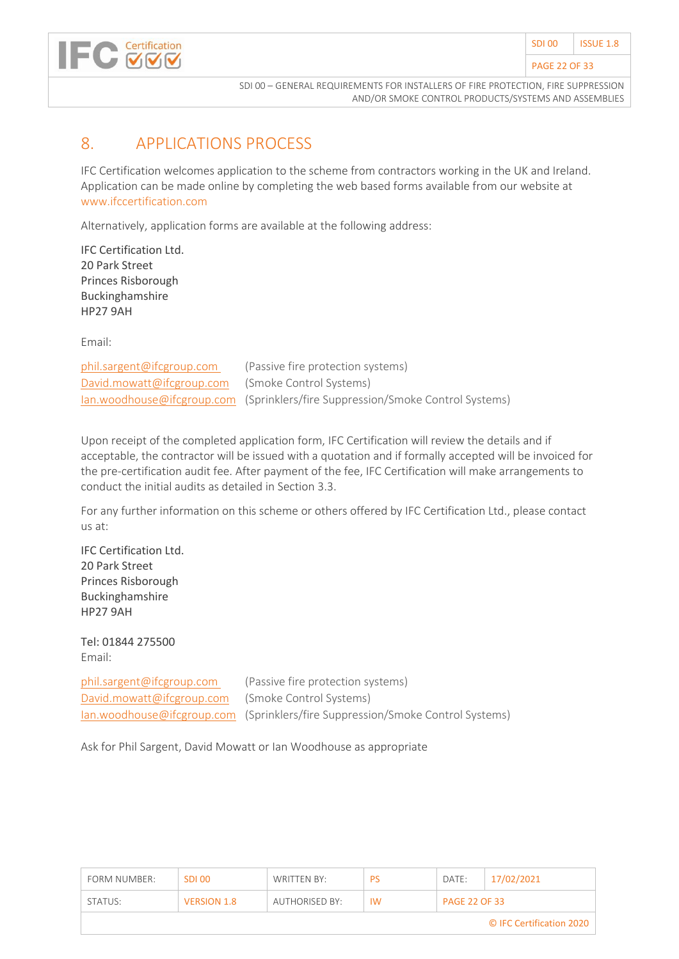

# <span id="page-21-0"></span>8. APPLICATIONS PROCESS

IFC Certification welcomes application to the scheme from contractors working in the UK and Ireland. Application can be made online by completing the web based forms available from our website at www.ifccertification.com

Alternatively, application forms are available at the following address:

IFC Certification Ltd. 20 Park Street Princes Risborough Buckinghamshire HP27 9AH

Email:

| phil.sargent@ifcgroup.com                         | (Passive fire protection systems)                                              |
|---------------------------------------------------|--------------------------------------------------------------------------------|
| David.mowatt@ifcgroup.com (Smoke Control Systems) |                                                                                |
|                                                   | lan.woodhouse@ifcgroup.com (Sprinklers/fire Suppression/Smoke Control Systems) |

Upon receipt of the completed application form, IFC Certification will review the details and if acceptable, the contractor will be issued with a quotation and if formally accepted will be invoiced for the pre-certification audit fee. After payment of the fee, IFC Certification will make arrangements to conduct the initial audits as detailed in Section 3.3.

For any further information on this scheme or others offered by IFC Certification Ltd., please contact us at:

IFC Certification Ltd. 20 Park Street Princes Risborough Buckinghamshire HP27 9AH

Tel: 01844 275500 Email:

[David.mowatt@ifcgroup.com](mailto:David.mowatt@ifcgroup.com) (Smoke Control Systems)

[phil.sargent@ifcgroup.com](mailto:phil.sargent@ifcgroup.com) (Passive fire protection systems) [Ian.woodhouse@ifcgroup.com](mailto:Ian.woodhouse@ifcgroup.com) (Sprinklers/fire Suppression/Smoke Control Systems)

Ask for Phil Sargent, David Mowatt or Ian Woodhouse as appropriate

| FORM NUMBER:             | SDI 00             | WRITTEN BY:    | PS        | DATE:                | 17/02/2021 |  |  |
|--------------------------|--------------------|----------------|-----------|----------------------|------------|--|--|
| STATUS:                  | <b>VERSION 1.8</b> | AUTHORISED BY: | <b>IW</b> | <b>PAGE 22 OF 33</b> |            |  |  |
| © IFC Certification 2020 |                    |                |           |                      |            |  |  |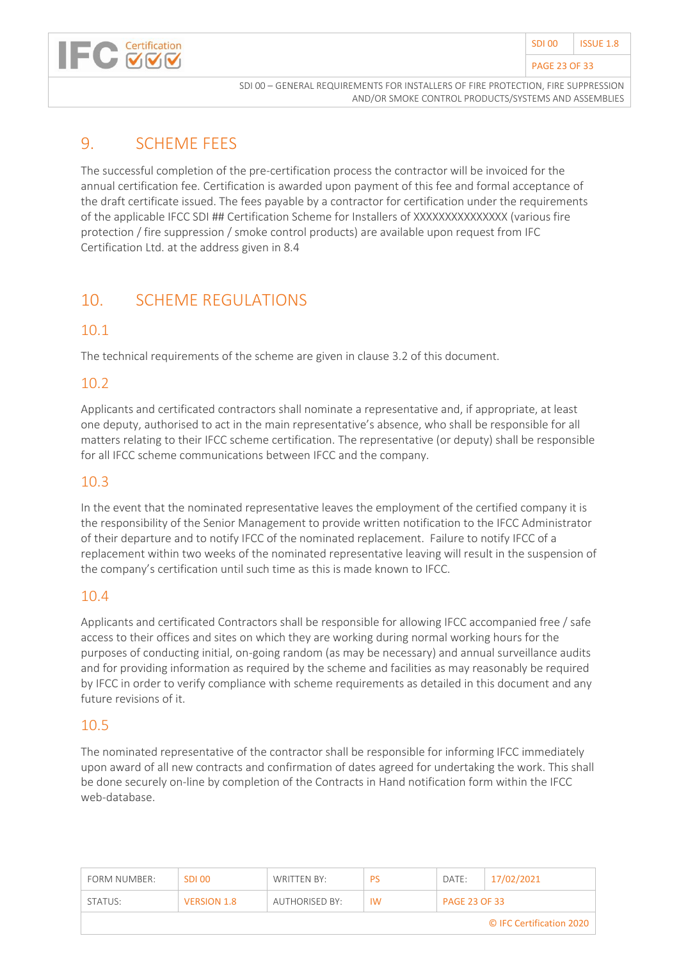



# <span id="page-22-0"></span>9. SCHEME FEES

The successful completion of the pre-certification process the contractor will be invoiced for the annual certification fee. Certification is awarded upon payment of this fee and formal acceptance of the draft certificate issued. The fees payable by a contractor for certification under the requirements of the applicable IFCC SDI ## Certification Scheme for Installers of XXXXXXXXXXXXXXX (various fire protection / fire suppression / smoke control products) are available upon request from IFC Certification Ltd. at the address given in 8.4

# <span id="page-22-1"></span>10. SCHEME REGULATIONS

#### 10.1

The technical requirements of the scheme are given in clause 3.2 of this document.

### 10.2

Applicants and certificated contractors shall nominate a representative and, if appropriate, at least one deputy, authorised to act in the main representative's absence, who shall be responsible for all matters relating to their IFCC scheme certification. The representative (or deputy) shall be responsible for all IFCC scheme communications between IFCC and the company.

### 10.3

In the event that the nominated representative leaves the employment of the certified company it is the responsibility of the Senior Management to provide written notification to the IFCC Administrator of their departure and to notify IFCC of the nominated replacement. Failure to notify IFCC of a replacement within two weeks of the nominated representative leaving will result in the suspension of the company's certification until such time as this is made known to IFCC.

#### 10.4

Applicants and certificated Contractors shall be responsible for allowing IFCC accompanied free / safe access to their offices and sites on which they are working during normal working hours for the purposes of conducting initial, on-going random (as may be necessary) and annual surveillance audits and for providing information as required by the scheme and facilities as may reasonably be required by IFCC in order to verify compliance with scheme requirements as detailed in this document and any future revisions of it.

#### 10.5

The nominated representative of the contractor shall be responsible for informing IFCC immediately upon award of all new contracts and confirmation of dates agreed for undertaking the work. This shall be done securely on-line by completion of the Contracts in Hand notification form within the IFCC web-database.

| FORM NUMBER:             | <b>SDL00</b>       | WRITTEN BY:           | PS        | DATE:                | 17/02/2021 |  |  |
|--------------------------|--------------------|-----------------------|-----------|----------------------|------------|--|--|
| STATUS:                  | <b>VERSION 1.8</b> | <b>AUTHORISED BY:</b> | <b>IW</b> | <b>PAGE 23 OF 33</b> |            |  |  |
| © IFC Certification 2020 |                    |                       |           |                      |            |  |  |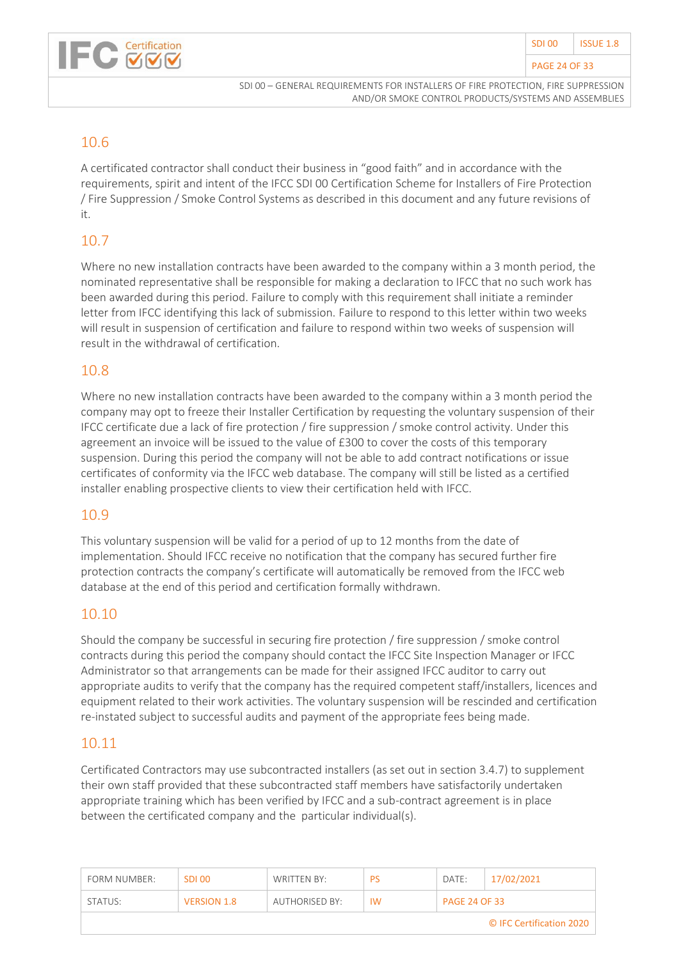

#### 10.6

A certificated contractor shall conduct their business in "good faith" and in accordance with the requirements, spirit and intent of the IFCC SDI 00 Certification Scheme for Installers of Fire Protection / Fire Suppression / Smoke Control Systems as described in this document and any future revisions of it.

### 10.7

Where no new installation contracts have been awarded to the company within a 3 month period, the nominated representative shall be responsible for making a declaration to IFCC that no such work has been awarded during this period. Failure to comply with this requirement shall initiate a reminder letter from IFCC identifying this lack of submission. Failure to respond to this letter within two weeks will result in suspension of certification and failure to respond within two weeks of suspension will result in the withdrawal of certification.

#### 10.8

Where no new installation contracts have been awarded to the company within a 3 month period the company may opt to freeze their Installer Certification by requesting the voluntary suspension of their IFCC certificate due a lack of fire protection / fire suppression / smoke control activity. Under this agreement an invoice will be issued to the value of £300 to cover the costs of this temporary suspension. During this period the company will not be able to add contract notifications or issue certificates of conformity via the IFCC web database. The company will still be listed as a certified installer enabling prospective clients to view their certification held with IFCC.

#### 10.9

This voluntary suspension will be valid for a period of up to 12 months from the date of implementation. Should IFCC receive no notification that the company has secured further fire protection contracts the company's certificate will automatically be removed from the IFCC web database at the end of this period and certification formally withdrawn.

#### 10.10

Should the company be successful in securing fire protection / fire suppression / smoke control contracts during this period the company should contact the IFCC Site Inspection Manager or IFCC Administrator so that arrangements can be made for their assigned IFCC auditor to carry out appropriate audits to verify that the company has the required competent staff/installers, licences and equipment related to their work activities. The voluntary suspension will be rescinded and certification re-instated subject to successful audits and payment of the appropriate fees being made.

#### 10.11

Certificated Contractors may use subcontracted installers (as set out in section 3.4.7) to supplement their own staff provided that these subcontracted staff members have satisfactorily undertaken appropriate training which has been verified by IFCC and a sub-contract agreement is in place between the certificated company and the particular individual(s).

| FORM NUMBER:             | SDI 00             | WRITTEN BY:    | <b>PS</b> | DATE:                | 17/02/2021 |  |  |
|--------------------------|--------------------|----------------|-----------|----------------------|------------|--|--|
| STATUS:                  | <b>VERSION 1.8</b> | AUTHORISED BY: | <b>IW</b> | <b>PAGE 24 OF 33</b> |            |  |  |
| © IFC Certification 2020 |                    |                |           |                      |            |  |  |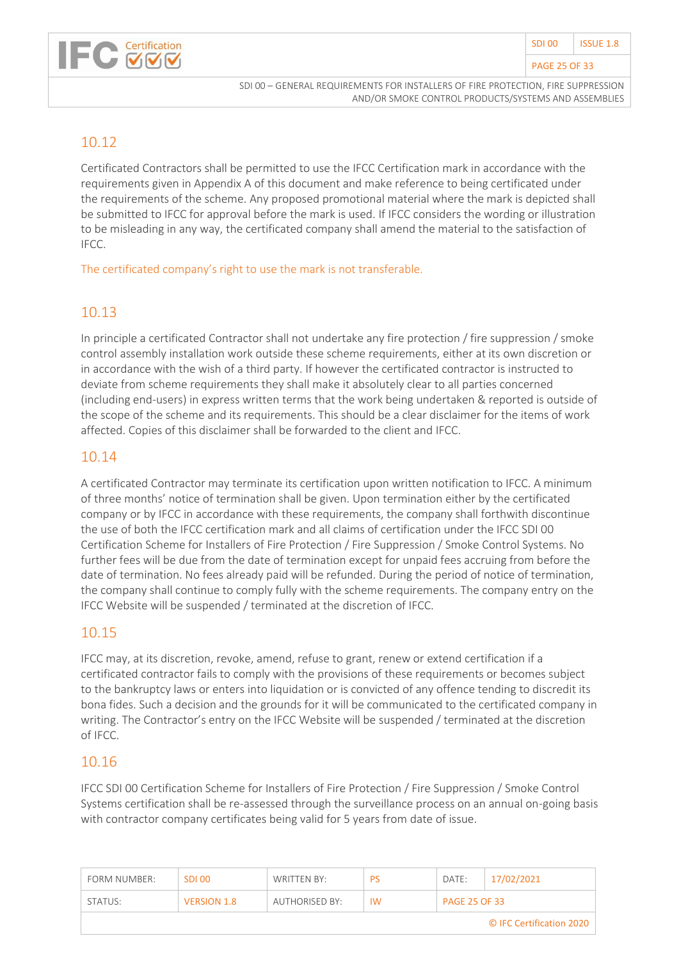#### PAGE 25 OF 33



SDI 00 – GENERAL REQUIREMENTS FOR INSTALLERS OF FIRE PROTECTION, FIRE SUPPRESSION AND/OR SMOKE CONTROL PRODUCTS/SYSTEMS AND ASSEMBLIES

#### 10.12

Certificated Contractors shall be permitted to use the IFCC Certification mark in accordance with the requirements given in Appendix A of this document and make reference to being certificated under the requirements of the scheme. Any proposed promotional material where the mark is depicted shall be submitted to IFCC for approval before the mark is used. If IFCC considers the wording or illustration to be misleading in any way, the certificated company shall amend the material to the satisfaction of IFCC.

The certificated company's right to use the mark is not transferable.

#### 10.13

In principle a certificated Contractor shall not undertake any fire protection / fire suppression / smoke control assembly installation work outside these scheme requirements, either at its own discretion or in accordance with the wish of a third party. If however the certificated contractor is instructed to deviate from scheme requirements they shall make it absolutely clear to all parties concerned (including end-users) in express written terms that the work being undertaken & reported is outside of the scope of the scheme and its requirements. This should be a clear disclaimer for the items of work affected. Copies of this disclaimer shall be forwarded to the client and IFCC.

#### 10.14

A certificated Contractor may terminate its certification upon written notification to IFCC. A minimum of three months' notice of termination shall be given. Upon termination either by the certificated company or by IFCC in accordance with these requirements, the company shall forthwith discontinue the use of both the IFCC certification mark and all claims of certification under the IFCC SDI 00 Certification Scheme for Installers of Fire Protection / Fire Suppression / Smoke Control Systems. No further fees will be due from the date of termination except for unpaid fees accruing from before the date of termination. No fees already paid will be refunded. During the period of notice of termination, the company shall continue to comply fully with the scheme requirements. The company entry on the IFCC Website will be suspended / terminated at the discretion of IFCC.

#### 10.15

IFCC may, at its discretion, revoke, amend, refuse to grant, renew or extend certification if a certificated contractor fails to comply with the provisions of these requirements or becomes subject to the bankruptcy laws or enters into liquidation or is convicted of any offence tending to discredit its bona fides. Such a decision and the grounds for it will be communicated to the certificated company in writing. The Contractor's entry on the IFCC Website will be suspended / terminated at the discretion of IFCC.

#### 10.16

IFCC SDI 00 Certification Scheme for Installers of Fire Protection / Fire Suppression / Smoke Control Systems certification shall be re-assessed through the surveillance process on an annual on-going basis with contractor company certificates being valid for 5 years from date of issue.

| FORM NUMBER:             | SDI 00             | WRITTEN BY:    | <b>PS</b> | DATE:                | 17/02/2021 |  |  |
|--------------------------|--------------------|----------------|-----------|----------------------|------------|--|--|
| STATUS:                  | <b>VERSION 1.8</b> | AUTHORISED BY: | <b>IW</b> | <b>PAGE 25 OF 33</b> |            |  |  |
| © IFC Certification 2020 |                    |                |           |                      |            |  |  |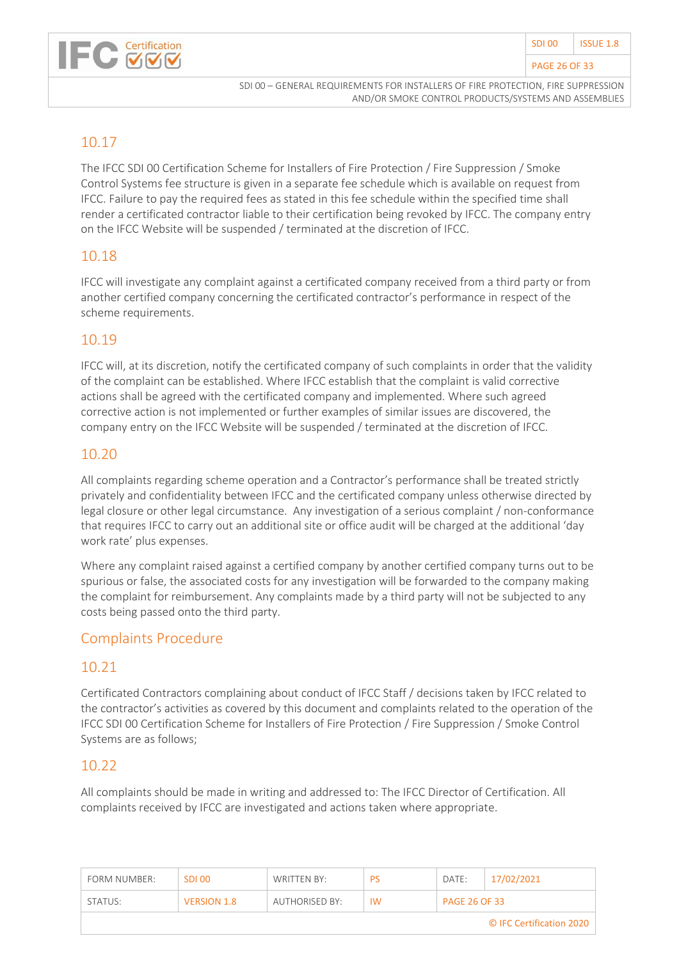#### PAGE 26 OF 33



SDI 00 – GENERAL REQUIREMENTS FOR INSTALLERS OF FIRE PROTECTION, FIRE SUPPRESSION AND/OR SMOKE CONTROL PRODUCTS/SYSTEMS AND ASSEMBLIES

#### 10.17

The IFCC SDI 00 Certification Scheme for Installers of Fire Protection / Fire Suppression / Smoke Control Systems fee structure is given in a separate fee schedule which is available on request from IFCC. Failure to pay the required fees as stated in this fee schedule within the specified time shall render a certificated contractor liable to their certification being revoked by IFCC. The company entry on the IFCC Website will be suspended / terminated at the discretion of IFCC.

#### 10.18

IFCC will investigate any complaint against a certificated company received from a third party or from another certified company concerning the certificated contractor's performance in respect of the scheme requirements.

#### 10.19

IFCC will, at its discretion, notify the certificated company of such complaints in order that the validity of the complaint can be established. Where IFCC establish that the complaint is valid corrective actions shall be agreed with the certificated company and implemented. Where such agreed corrective action is not implemented or further examples of similar issues are discovered, the company entry on the IFCC Website will be suspended / terminated at the discretion of IFCC.

#### 10.20

All complaints regarding scheme operation and a Contractor's performance shall be treated strictly privately and confidentiality between IFCC and the certificated company unless otherwise directed by legal closure or other legal circumstance. Any investigation of a serious complaint / non-conformance that requires IFCC to carry out an additional site or office audit will be charged at the additional 'day work rate' plus expenses.

Where any complaint raised against a certified company by another certified company turns out to be spurious or false, the associated costs for any investigation will be forwarded to the company making the complaint for reimbursement. Any complaints made by a third party will not be subjected to any costs being passed onto the third party.

#### Complaints Procedure

#### 10.21

Certificated Contractors complaining about conduct of IFCC Staff / decisions taken by IFCC related to the contractor's activities as covered by this document and complaints related to the operation of the IFCC SDI 00 Certification Scheme for Installers of Fire Protection / Fire Suppression / Smoke Control Systems are as follows;

#### 10.22

All complaints should be made in writing and addressed to: The IFCC Director of Certification. All complaints received by IFCC are investigated and actions taken where appropriate.

| <b>FORM NUMBER:</b>      | SDI 00             | WRITTEN BY:    | PS        | DATE:                | 17/02/2021 |  |  |
|--------------------------|--------------------|----------------|-----------|----------------------|------------|--|--|
| STATUS:                  | <b>VERSION 1.8</b> | AUTHORISED BY: | <b>IW</b> | <b>PAGE 26 OF 33</b> |            |  |  |
| © IFC Certification 2020 |                    |                |           |                      |            |  |  |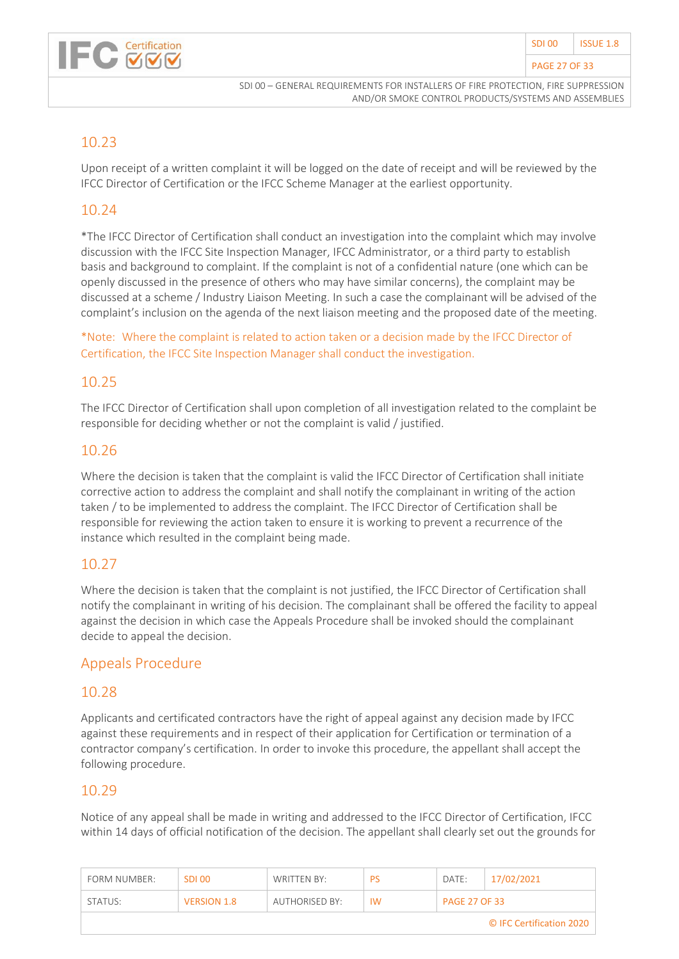

#### 10.23

Upon receipt of a written complaint it will be logged on the date of receipt and will be reviewed by the IFCC Director of Certification or the IFCC Scheme Manager at the earliest opportunity.

#### 10.24

\*The IFCC Director of Certification shall conduct an investigation into the complaint which may involve discussion with the IFCC Site Inspection Manager, IFCC Administrator, or a third party to establish basis and background to complaint. If the complaint is not of a confidential nature (one which can be openly discussed in the presence of others who may have similar concerns), the complaint may be discussed at a scheme / Industry Liaison Meeting. In such a case the complainant will be advised of the complaint's inclusion on the agenda of the next liaison meeting and the proposed date of the meeting.

\*Note: Where the complaint is related to action taken or a decision made by the IFCC Director of Certification, the IFCC Site Inspection Manager shall conduct the investigation.

#### 10.25

The IFCC Director of Certification shall upon completion of all investigation related to the complaint be responsible for deciding whether or not the complaint is valid / justified.

#### 10.26

Where the decision is taken that the complaint is valid the IFCC Director of Certification shall initiate corrective action to address the complaint and shall notify the complainant in writing of the action taken / to be implemented to address the complaint. The IFCC Director of Certification shall be responsible for reviewing the action taken to ensure it is working to prevent a recurrence of the instance which resulted in the complaint being made.

#### 10.27

Where the decision is taken that the complaint is not justified, the IFCC Director of Certification shall notify the complainant in writing of his decision. The complainant shall be offered the facility to appeal against the decision in which case the Appeals Procedure shall be invoked should the complainant decide to appeal the decision.

#### Appeals Procedure

#### 10.28

Applicants and certificated contractors have the right of appeal against any decision made by IFCC against these requirements and in respect of their application for Certification or termination of a contractor company's certification. In order to invoke this procedure, the appellant shall accept the following procedure.

#### 10.29

Notice of any appeal shall be made in writing and addressed to the IFCC Director of Certification, IFCC within 14 days of official notification of the decision. The appellant shall clearly set out the grounds for

| FORM NUMBER:             | SDI 00             | WRITTEN BY:    | PS        | DATE:                | 17/02/2021 |  |  |
|--------------------------|--------------------|----------------|-----------|----------------------|------------|--|--|
| STATUS:                  | <b>VERSION 1.8</b> | AUTHORISED BY: | <b>IW</b> | <b>PAGE 27 OF 33</b> |            |  |  |
| © IFC Certification 2020 |                    |                |           |                      |            |  |  |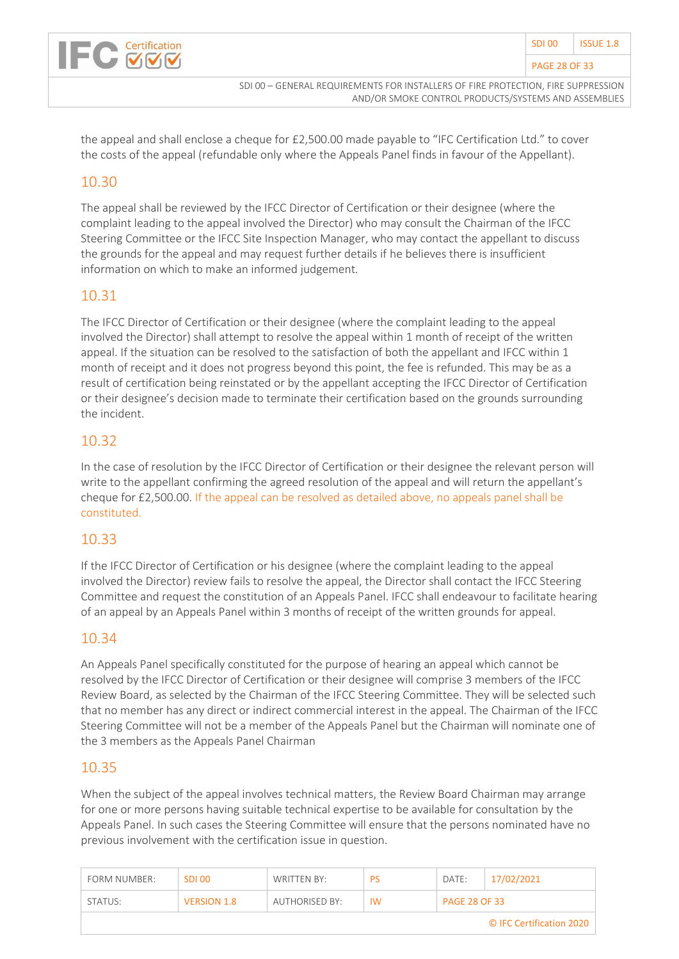

the appeal and shall enclose a cheque for £2,500.00 made payable to "IFC Certification Ltd." to cover the costs of the appeal (refundable only where the Appeals Panel finds in favour of the Appellant).

### 10.30

The appeal shall be reviewed by the IFCC Director of Certification or their designee (where the complaint leading to the appeal involved the Director) who may consult the Chairman of the IFCC Steering Committee or the IFCC Site Inspection Manager, who may contact the appellant to discuss the grounds for the appeal and may request further details if he believes there is insufficient information on which to make an informed judgement.

#### 10.31

The IFCC Director of Certification or their designee (where the complaint leading to the appeal involved the Director) shall attempt to resolve the appeal within 1 month of receipt of the written appeal. If the situation can be resolved to the satisfaction of both the appellant and IFCC within 1 month of receipt and it does not progress beyond this point, the fee is refunded. This may be as a result of certification being reinstated or by the appellant accepting the IFCC Director of Certification or their designee's decision made to terminate their certification based on the grounds surrounding the incident.

#### 10.32

In the case of resolution by the IFCC Director of Certification or their designee the relevant person will write to the appellant confirming the agreed resolution of the appeal and will return the appellant's cheque for £2,500.00. If the appeal can be resolved as detailed above, no appeals panel shall be constituted.

#### 10.33

If the IFCC Director of Certification or his designee (where the complaint leading to the appeal involved the Director) review fails to resolve the appeal, the Director shall contact the IFCC Steering Committee and request the constitution of an Appeals Panel. IFCC shall endeavour to facilitate hearing of an appeal by an Appeals Panel within 3 months of receipt of the written grounds for appeal.

#### 10.34

An Appeals Panel specifically constituted for the purpose of hearing an appeal which cannot be resolved by the IFCC Director of Certification or their designee will comprise 3 members of the IFCC Review Board, as selected by the Chairman of the IFCC Steering Committee. They will be selected such that no member has any direct or indirect commercial interest in the appeal. The Chairman of the IFCC Steering Committee will not be a member of the Appeals Panel but the Chairman will nominate one of the 3 members as the Appeals Panel Chairman

#### 10.35

When the subject of the appeal involves technical matters, the Review Board Chairman may arrange for one or more persons having suitable technical expertise to be available for consultation by the Appeals Panel. In such cases the Steering Committee will ensure that the persons nominated have no previous involvement with the certification issue in question.

| FORM NUMBER:             | SDI 00             | WRITTEN BY:    | PS        | DATE:                | 17/02/2021 |  |  |
|--------------------------|--------------------|----------------|-----------|----------------------|------------|--|--|
| STATUS:                  | <b>VERSION 1.8</b> | AUTHORISED BY: | <b>IW</b> | <b>PAGE 28 OF 33</b> |            |  |  |
| © IFC Certification 2020 |                    |                |           |                      |            |  |  |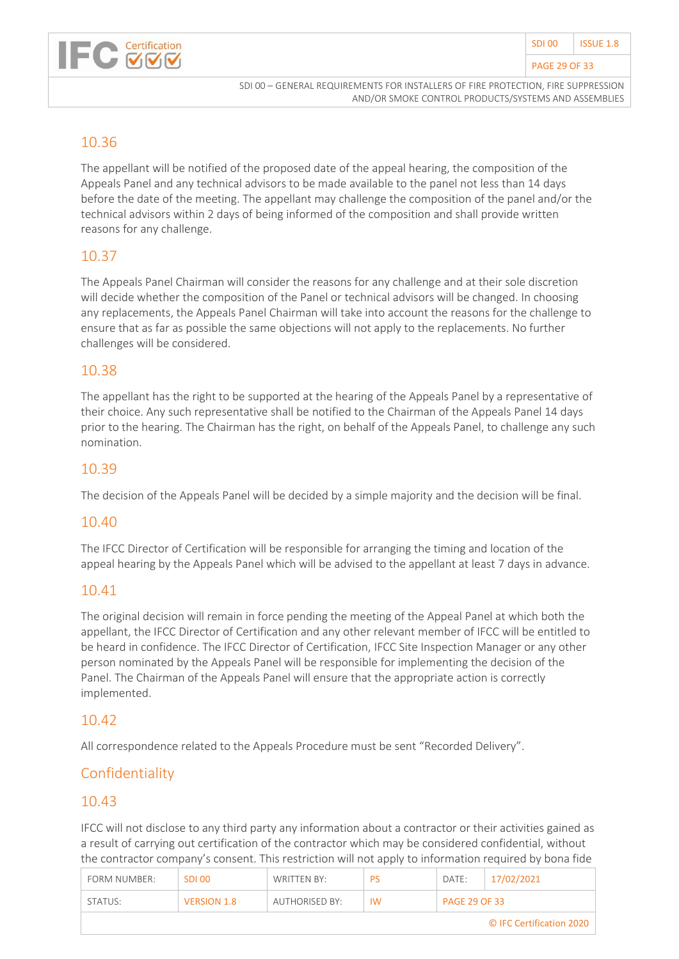

#### 10.36

The appellant will be notified of the proposed date of the appeal hearing, the composition of the Appeals Panel and any technical advisors to be made available to the panel not less than 14 days before the date of the meeting. The appellant may challenge the composition of the panel and/or the technical advisors within 2 days of being informed of the composition and shall provide written reasons for any challenge.

#### 10.37

The Appeals Panel Chairman will consider the reasons for any challenge and at their sole discretion will decide whether the composition of the Panel or technical advisors will be changed. In choosing any replacements, the Appeals Panel Chairman will take into account the reasons for the challenge to ensure that as far as possible the same objections will not apply to the replacements. No further challenges will be considered.

#### 10.38

The appellant has the right to be supported at the hearing of the Appeals Panel by a representative of their choice. Any such representative shall be notified to the Chairman of the Appeals Panel 14 days prior to the hearing. The Chairman has the right, on behalf of the Appeals Panel, to challenge any such nomination.

#### 10.39

The decision of the Appeals Panel will be decided by a simple majority and the decision will be final.

#### 10.40

The IFCC Director of Certification will be responsible for arranging the timing and location of the appeal hearing by the Appeals Panel which will be advised to the appellant at least 7 days in advance.

#### 10.41

The original decision will remain in force pending the meeting of the Appeal Panel at which both the appellant, the IFCC Director of Certification and any other relevant member of IFCC will be entitled to be heard in confidence. The IFCC Director of Certification, IFCC Site Inspection Manager or any other person nominated by the Appeals Panel will be responsible for implementing the decision of the Panel. The Chairman of the Appeals Panel will ensure that the appropriate action is correctly implemented.

#### 10.42

All correspondence related to the Appeals Procedure must be sent "Recorded Delivery".

#### Confidentiality

#### 10.43

IFCC will not disclose to any third party any information about a contractor or their activities gained as a result of carrying out certification of the contractor which may be considered confidential, without the contractor company's consent. This restriction will not apply to information required by bona fide

| FORM NUMBER:             | SDI 00             | WRITTEN BY:    | <b>PS</b> | DATE:                | 17/02/2021 |  |  |
|--------------------------|--------------------|----------------|-----------|----------------------|------------|--|--|
| STATUS:                  | <b>VERSION 1.8</b> | AUTHORISED BY: | <b>IW</b> | <b>PAGE 29 OF 33</b> |            |  |  |
| © IFC Certification 2020 |                    |                |           |                      |            |  |  |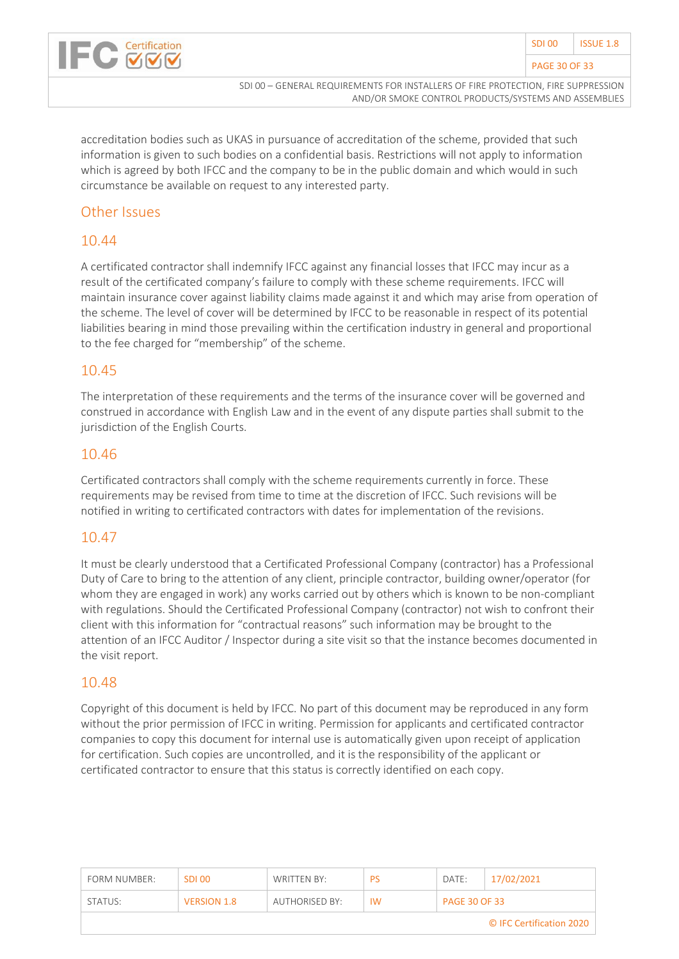

accreditation bodies such as UKAS in pursuance of accreditation of the scheme, provided that such information is given to such bodies on a confidential basis. Restrictions will not apply to information which is agreed by both IFCC and the company to be in the public domain and which would in such circumstance be available on request to any interested party.

#### Other Issues

#### 10.44

A certificated contractor shall indemnify IFCC against any financial losses that IFCC may incur as a result of the certificated company's failure to comply with these scheme requirements. IFCC will maintain insurance cover against liability claims made against it and which may arise from operation of the scheme. The level of cover will be determined by IFCC to be reasonable in respect of its potential liabilities bearing in mind those prevailing within the certification industry in general and proportional to the fee charged for "membership" of the scheme.

#### 10.45

The interpretation of these requirements and the terms of the insurance cover will be governed and construed in accordance with English Law and in the event of any dispute parties shall submit to the jurisdiction of the English Courts.

#### 10.46

Certificated contractors shall comply with the scheme requirements currently in force. These requirements may be revised from time to time at the discretion of IFCC. Such revisions will be notified in writing to certificated contractors with dates for implementation of the revisions.

#### 10.47

It must be clearly understood that a Certificated Professional Company (contractor) has a Professional Duty of Care to bring to the attention of any client, principle contractor, building owner/operator (for whom they are engaged in work) any works carried out by others which is known to be non-compliant with regulations. Should the Certificated Professional Company (contractor) not wish to confront their client with this information for "contractual reasons" such information may be brought to the attention of an IFCC Auditor / Inspector during a site visit so that the instance becomes documented in the visit report.

#### 10.48

Copyright of this document is held by IFCC. No part of this document may be reproduced in any form without the prior permission of IFCC in writing. Permission for applicants and certificated contractor companies to copy this document for internal use is automatically given upon receipt of application for certification. Such copies are uncontrolled, and it is the responsibility of the applicant or certificated contractor to ensure that this status is correctly identified on each copy.

| FORM NUMBER:             | SDI 00             | WRITTEN BY:           | PS        | DATE:                | 17/02/2021 |  |  |
|--------------------------|--------------------|-----------------------|-----------|----------------------|------------|--|--|
| STATUS:                  | <b>VERSION 1.8</b> | <b>AUTHORISED BY:</b> | <b>IW</b> | <b>PAGE 30 OF 33</b> |            |  |  |
| © IFC Certification 2020 |                    |                       |           |                      |            |  |  |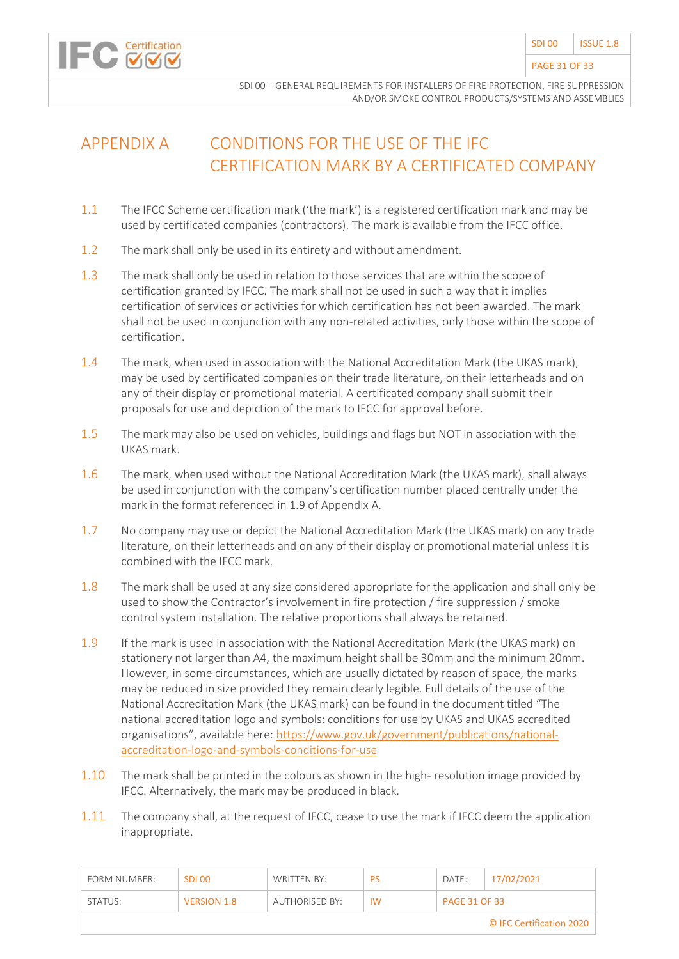

# <span id="page-30-0"></span>APPENDIX A CONDITIONS FOR THE USE OF THE IFC CERTIFICATION MARK BY A CERTIFICATED COMPANY

- 1.1 The IFCC Scheme certification mark ('the mark') is a registered certification mark and may be used by certificated companies (contractors). The mark is available from the IFCC office.
- 1.2 The mark shall only be used in its entirety and without amendment.
- 1.3 The mark shall only be used in relation to those services that are within the scope of certification granted by IFCC. The mark shall not be used in such a way that it implies certification of services or activities for which certification has not been awarded. The mark shall not be used in conjunction with any non-related activities, only those within the scope of certification.
- 1.4 The mark, when used in association with the National Accreditation Mark (the UKAS mark), may be used by certificated companies on their trade literature, on their letterheads and on any of their display or promotional material. A certificated company shall submit their proposals for use and depiction of the mark to IFCC for approval before.
- 1.5 The mark may also be used on vehicles, buildings and flags but NOT in association with the UKAS mark.
- 1.6 The mark, when used without the National Accreditation Mark (the UKAS mark), shall always be used in conjunction with the company's certification number placed centrally under the mark in the format referenced in 1.9 of Appendix A.
- 1.7 No company may use or depict the National Accreditation Mark (the UKAS mark) on any trade literature, on their letterheads and on any of their display or promotional material unless it is combined with the IFCC mark.
- 1.8 The mark shall be used at any size considered appropriate for the application and shall only be used to show the Contractor's involvement in fire protection / fire suppression / smoke control system installation. The relative proportions shall always be retained.
- 1.9 If the mark is used in association with the National Accreditation Mark (the UKAS mark) on stationery not larger than A4, the maximum height shall be 30mm and the minimum 20mm. However, in some circumstances, which are usually dictated by reason of space, the marks may be reduced in size provided they remain clearly legible. Full details of the use of the National Accreditation Mark (the UKAS mark) can be found in the document titled "The national accreditation logo and symbols: conditions for use by UKAS and UKAS accredited organisations", available here: [https://www.gov.uk/government/publications/national](https://www.gov.uk/government/publications/national-accreditation-logo-and-symbols-conditions-for-use)[accreditation-logo-and-symbols-conditions-for-use](https://www.gov.uk/government/publications/national-accreditation-logo-and-symbols-conditions-for-use)
- 1.10 The mark shall be printed in the colours as shown in the high- resolution image provided by IFCC. Alternatively, the mark may be produced in black.
- 1.11 The company shall, at the request of IFCC, cease to use the mark if IFCC deem the application inappropriate.

| FORM NUMBER:             | SDI 00             | WRITTEN BY:    | PS | DATE:                | 17/02/2021 |  |  |
|--------------------------|--------------------|----------------|----|----------------------|------------|--|--|
| STATUS:                  | <b>VERSION 1.8</b> | AUTHORISED BY: | IW | <b>PAGE 31 OF 33</b> |            |  |  |
| © IFC Certification 2020 |                    |                |    |                      |            |  |  |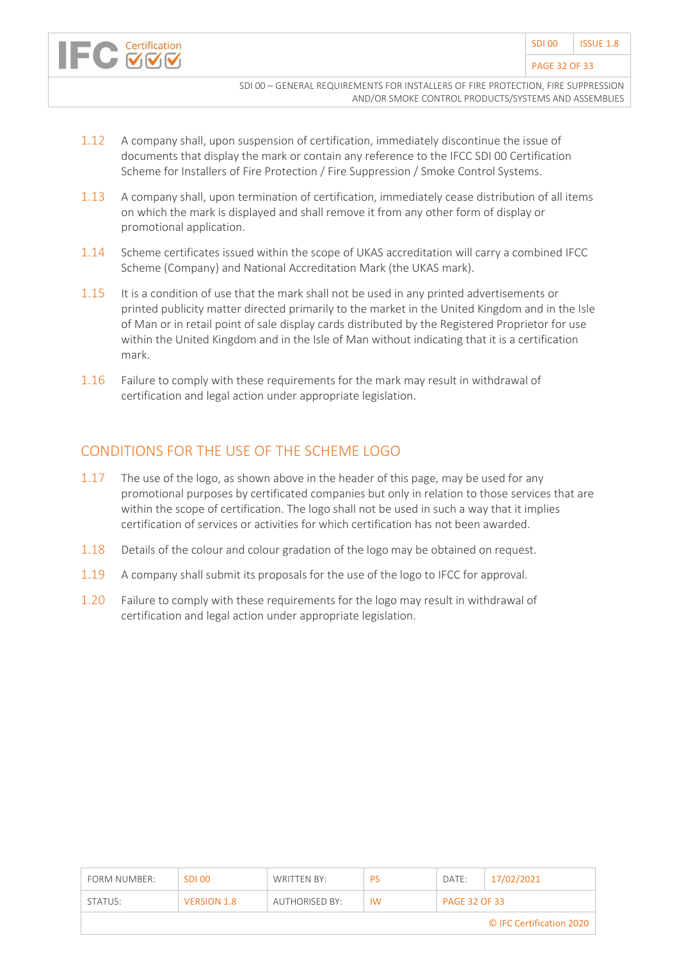- 1.12 A company shall, upon suspension of certification, immediately discontinue the issue of documents that display the mark or contain any reference to the IFCC SDI 00 Certification Scheme for Installers of Fire Protection / Fire Suppression / Smoke Control Systems.
- 1.13 A company shall, upon termination of certification, immediately cease distribution of all items on which the mark is displayed and shall remove it from any other form of display or promotional application.
- 1.14 Scheme certificates issued within the scope of UKAS accreditation will carry a combined IFCC Scheme (Company) and National Accreditation Mark (the UKAS mark).
- 1.15 It is a condition of use that the mark shall not be used in any printed advertisements or printed publicity matter directed primarily to the market in the United Kingdom and in the Isle of Man or in retail point of sale display cards distributed by the Registered Proprietor for use within the United Kingdom and in the Isle of Man without indicating that it is a certification mark.
- 1.16 Failure to comply with these requirements for the mark may result in withdrawal of certification and legal action under appropriate legislation.

#### CONDITIONS FOR THE USE OF THE SCHEME LOGO

- 1.17 The use of the logo, as shown above in the header of this page, may be used for any promotional purposes by certificated companies but only in relation to those services that are within the scope of certification. The logo shall not be used in such a way that it implies certification of services or activities for which certification has not been awarded.
- 1.18 Details of the colour and colour gradation of the logo may be obtained on request.
- 1.19 A company shall submit its proposals for the use of the logo to IFCC for approval.
- 1.20 Failure to comply with these requirements for the logo may result in withdrawal of certification and legal action under appropriate legislation.

| FORM NUMBER:             | SDI 00             | WRITTEN BY:    | PS        | DATE:                | 17/02/2021 |  |
|--------------------------|--------------------|----------------|-----------|----------------------|------------|--|
| STATUS:                  | <b>VERSION 1.8</b> | AUTHORISED BY: | <b>IW</b> | <b>PAGE 32 OF 33</b> |            |  |
| © IFC Certification 2020 |                    |                |           |                      |            |  |